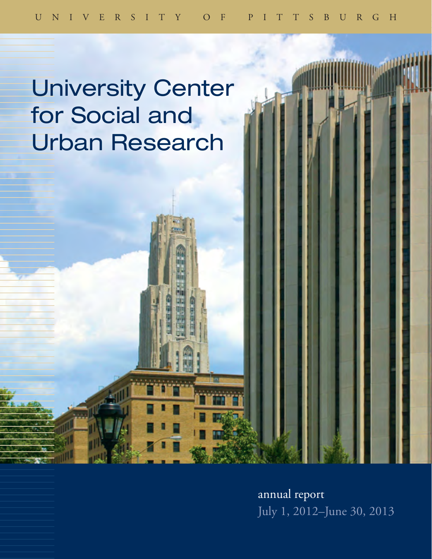# University Center for Social and Urban Research

annual report July 1, 2012–June 30, 2013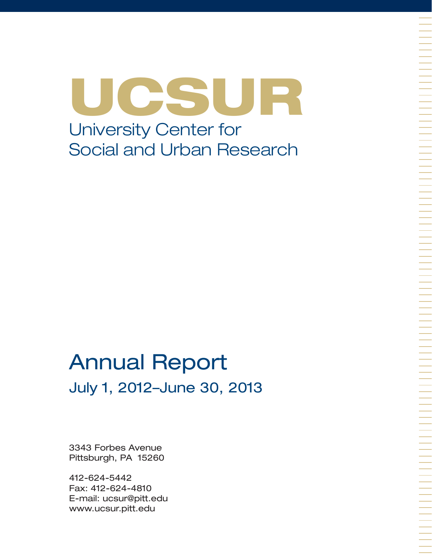UCSUR University Center for Social and Urban Research

# Annual Report July 1, 2012–June 30, 2013

3343 Forbes Avenue Pittsburgh, PA 15260

412-624-5442 Fax: 412-624-4810 E-mail: ucsur@pitt.edu www.ucsur.pitt.edu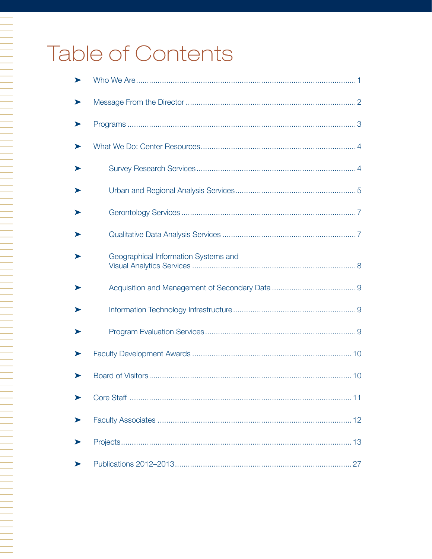# Table of Contents

N 1999 - PARTIE DE LA PRODUCTION DE LA PRODUCTION DE LA PRODUCTION DE LA PRODUCTION DE LA PRODUCTION DE LA PRO

| ➤ |                                      |
|---|--------------------------------------|
|   |                                      |
|   |                                      |
|   |                                      |
|   |                                      |
|   |                                      |
|   |                                      |
|   | Geographical Information Systems and |
|   |                                      |
|   |                                      |
|   |                                      |
|   |                                      |
|   |                                      |
|   |                                      |
| ➤ |                                      |
|   |                                      |
|   |                                      |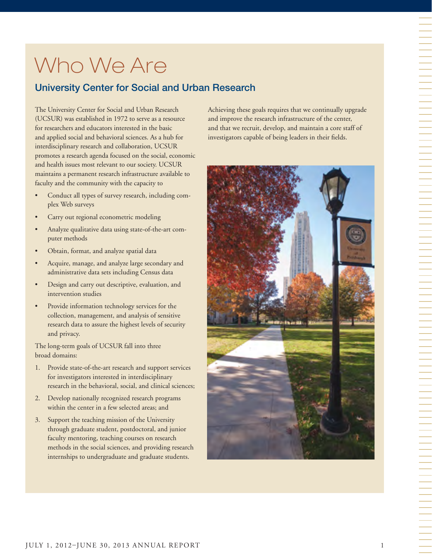# Who We Are

# University Center for Social and Urban Research

The University Center for Social and Urban Research (UCSUR) was established in 1972 to serve as a resource for researchers and educators interested in the basic and applied social and behavioral sciences. As a hub for interdisciplinary research and collaboration, UCSUR promotes a research agenda focused on the social, economic and health issues most relevant to our society. UCSUR maintains a permanent research infrastructure available to faculty and the community with the capacity to

- Conduct all types of survey research, including complex Web surveys
- Carry out regional econometric modeling
- Analyze qualitative data using state-of-the-art computer methods
- Obtain, format, and analyze spatial data
- Acquire, manage, and analyze large secondary and administrative data sets including Census data
- Design and carry out descriptive, evaluation, and intervention studies
- Provide information technology services for the collection, management, and analysis of sensitive research data to assure the highest levels of security and privacy.

The long-term goals of UCSUR fall into three broad domains:

- 1. Provide state-of-the-art research and support services for investigators interested in interdisciplinary research in the behavioral, social, and clinical sciences;
- 2. Develop nationally recognized research programs within the center in a few selected areas; and
- 3. Support the teaching mission of the University through graduate student, postdoctoral, and junior faculty mentoring, teaching courses on research methods in the social sciences, and providing research internships to undergraduate and graduate students.

Achieving these goals requires that we continually upgrade and improve the research infrastructure of the center, and that we recruit, develop, and maintain a core staff of investigators capable of being leaders in their fields.

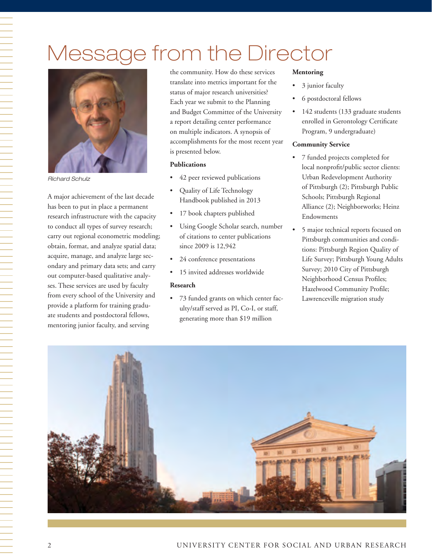# Message from the Director



*Richard Schulz*

A major achievement of the last decade has been to put in place a permanent research infrastructure with the capacity to conduct all types of survey research; carry out regional econometric modeling; obtain, format, and analyze spatial data; acquire, manage, and analyze large secondary and primary data sets; and carry out computer-based qualitative analyses. These services are used by faculty from every school of the University and provide a platform for training graduate students and postdoctoral fellows, mentoring junior faculty, and serving

the community. How do these services translate into metrics important for the status of major research universities? Each year we submit to the Planning and Budget Committee of the University a report detailing center performance on multiple indicators. A synopsis of accomplishments for the most recent year is presented below.

#### **Publications**

- 42 peer reviewed publications
- Quality of Life Technology Handbook published in 2013
- 17 book chapters published
- Using Google Scholar search, number of citations to center publications since 2009 is 12,942
- 24 conference presentations
- 15 invited addresses worldwide

#### **Research**

• 73 funded grants on which center faculty/staff served as PI, Co-I, or staff, generating more than \$19 million

#### **Mentoring**

- 3 junior faculty
- 6 postdoctoral fellows
- 142 students (133 graduate students enrolled in Gerontology Certificate Program, 9 undergraduate)

#### **Community Service**

- 7 funded projects completed for local nonprofit/public sector clients: Urban Redevelopment Authority of Pittsburgh (2); Pittsburgh Public Schools; Pittsburgh Regional Alliance (2); Neighborworks; Heinz Endowments
- 5 major technical reports focused on Pittsburgh communities and conditions: Pittsburgh Region Quality of Life Survey; Pittsburgh Young Adults Survey; 2010 City of Pittsburgh Neighborhood Census Profiles; Hazelwood Community Profile; Lawrenceville migration study

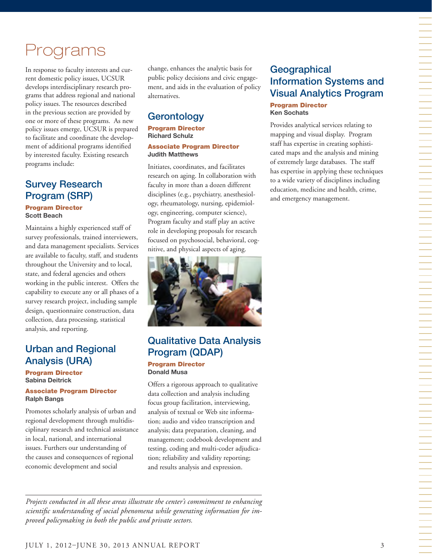# Programs

In response to faculty interests and current domestic policy issues, UCSUR develops interdisciplinary research programs that address regional and national policy issues. The resources described in the previous section are provided by one or more of these programs. As new policy issues emerge, UCSUR is prepared to facilitate and coordinate the development of additional programs identified by interested faculty. Existing research programs include:

#### Survey Research Program (SRP) Program Director **Scott Beach**

Maintains a highly experienced staff of survey professionals, trained interviewers, and data management specialists. Services are available to faculty, staff, and students throughout the University and to local, state, and federal agencies and others working in the public interest. Offers the capability to execute any or all phases of a survey research project, including sample design, questionnaire construction, data collection, data processing, statistical analysis, and reporting.

# Urban and Regional Analysis (URA)

Program Director **Sabina Deitrick**

#### Associate Program Director **Ralph Bangs**

Promotes scholarly analysis of urban and regional development through multidisciplinary research and technical assistance in local, national, and international issues. Furthers our understanding of the causes and consequences of regional economic development and social

change, enhances the analytic basis for public policy decisions and civic engagement, and aids in the evaluation of policy alternatives.

# **Gerontology**

Program Director **Richard Schulz** Associate Program Director **Judith Matthews**

Initiates, coordinates, and facilitates research on aging. In collaboration with faculty in more than a dozen different disciplines (e.g., psychiatry, anesthesiology, rheumatology, nursing, epidemiology, engineering, computer science), Program faculty and staff play an active role in developing proposals for research focused on psychosocial, behavioral, cognitive, and physical aspects of aging.



# Qualitative Data Analysis Program (QDAP)

#### Program Director **Donald Musa**

Offers a rigorous approach to qualitative data collection and analysis including focus group facilitation, interviewing, analysis of textual or Web site information; audio and video transcription and analysis; data preparation, cleaning, and management; codebook development and testing, coding and multi-coder adjudication; reliability and validity reporting; and results analysis and expression.

*Projects conducted in all these areas illustrate the center's commitment to enhancing scientific understanding of social phenomena while generating information for improved policymaking in both the public and private sectors.*

# **Geographical** Information Systems and Visual Analytics Program Program Director

**Ken Sochats**

Provides analytical services relating to mapping and visual display. Program staff has expertise in creating sophisticated maps and the analysis and mining of extremely large databases. The staff has expertise in applying these techniques to a wide variety of disciplines including education, medicine and health, crime, and emergency management.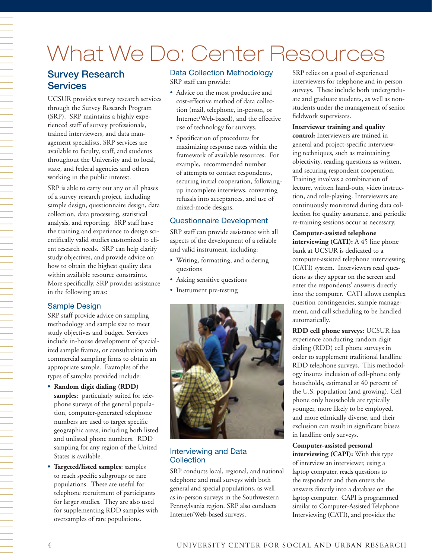# What We Do: Center Resources

# Survey Research **Services**

UCSUR provides survey research services through the Survey Research Program (SRP). SRP maintains a highly experienced staff of survey professionals, trained interviewers, and data management specialists. SRP services are available to faculty, staff, and students throughout the University and to local, state, and federal agencies and others working in the public interest.

SRP is able to carry out any or all phases of a survey research project, including sample design, questionnaire design, data collection, data processing, statistical analysis, and reporting. SRP staff have the training and experience to design scientifically valid studies customized to client research needs. SRP can help clarify study objectives, and provide advice on how to obtain the highest quality data within available resource constraints. More specifically, SRP provides assistance in the following areas:

#### Sample Design

SRP staff provide advice on sampling methodology and sample size to meet study objectives and budget. Services include in-house development of specialized sample frames, or consultation with commercial sampling firms to obtain an appropriate sample. Examples of the types of samples provided include:

- **• Random digit dialing (RDD) samples**: particularly suited for telephone surveys of the general population, computer-generated telephone numbers are used to target specific geographic areas, including both listed and unlisted phone numbers. RDD sampling for any region of the United States is available.
- **• Targeted/listed samples**: samples to reach specific subgroups or rare populations. These are useful for telephone recruitment of participants for larger studies. They are also used for supplementing RDD samples with oversamples of rare populations.

#### Data Collection Methodology SRP staff can provide:

- Advice on the most productive and cost-effective method of data collection (mail, telephone, in-person, or Internet/Web-based), and the effective use of technology for surveys.
- Specification of procedures for maximizing response rates within the framework of available resources. For example, recommended number of attempts to contact respondents, securing initial cooperation, followingup incomplete interviews, converting refusals into acceptances, and use of mixed-mode designs.

#### Questionnaire Development

SRP staff can provide assistance with all aspects of the development of a reliable and valid instrument, including:

- Writing, formatting, and ordering questions
- Asking sensitive questions
- Instrument pre-testing



#### Interviewing and Data **Collection**

SRP conducts local, regional, and national telephone and mail surveys with both general and special populations, as well as in-person surveys in the Southwestern Pennsylvania region. SRP also conducts Internet/Web-based surveys.

SRP relies on a pool of experienced interviewers for telephone and in-person surveys. These include both undergraduate and graduate students, as well as nonstudents under the management of senior fieldwork supervisors.

#### **Interviewer training and quality**

**control:** Interviewers are trained in general and project-specific interviewing techniques, such as maintaining objectivity, reading questions as written, and securing respondent cooperation. Training involves a combination of lecture, written hand-outs, video instruction, and role-playing. Interviewers are continuously monitored during data collection for quality assurance, and periodic re-training sessions occur as necessary.

#### **Computer-assisted telephone**

**interviewing (CATI):** A 45 line phone bank at UCSUR is dedicated to a computer-assisted telephone interviewing (CATI) system. Interviewers read questions as they appear on the screen and enter the respondents' answers directly into the computer. CATI allows complex question contingencies, sample management, and call scheduling to be handled automatically.

**RDD cell phone surveys**: UCSUR has experience conducting random digit dialing (RDD) cell phone surveys in order to supplement traditional landline RDD telephone surveys. This methodology insures inclusion of cell-phone only households, estimated at 40 percent of the U.S. population (and growing). Cell phone only households are typically younger, more likely to be employed, and more ethnically diverse, and their exclusion can result in significant biases in landline only surveys.

#### **Computer-assisted personal**

**interviewing (CAPI):** With this type of interview an interviewer, using a laptop computer, reads questions to the respondent and then enters the answers directly into a database on the laptop computer. CAPI is programmed similar to Computer-Assisted Telephone Interviewing (CATI), and provides the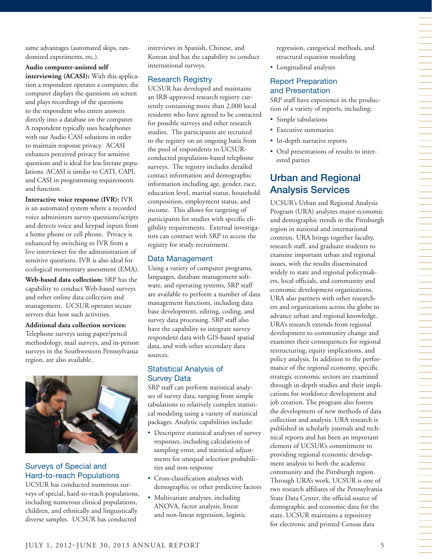same advantages (automated skips, randomized experiments, etc.).

**Audio computer-assisted self interviewing (ACASI):** With this application a respondent operates a computer, the computer displays the questions on screen and plays recordings of the questions to the respondent who enters answers directly into a database on the computer. A respondent typically uses headphones with our Audio CASI solutions in order to maintain response privacy. ACASI enhances perceived privacy for sensitive questions and is ideal for less literate populations. ACASI is similar to CATI, CAPI, and CASI in programming requirements and function.

**Interactive voice response (IVR):** IVR is an automated system where a recorded voice administers survey questions/scripts and detects voice and keypad inputs from a home phone or cell phone. Privacy is enhanced by switching to IVR from a live interviewer for the administration of sensitive questions. IVR is also ideal for ecological momentary assessment (EMA).

**Web-based data collection:** SRP has the capability to conduct Web-based surveys and other online data collection and management. UCSUR operates secure servers that host such activities.

**Additional data collection services:** Telephone surveys using paper/pencil methodology, mail surveys, and in-person surveys in the Southwestern Pennsylvania region, are also available.



## Surveys of Special and Hard-to-reach Populations

UCSUR has conducted numerous surveys of special, hard-to-reach populations, including numerous clinical populations, children, and ethnically and linguistically diverse samples. UCSUR has conducted

interviews in Spanish, Chinese, and Korean and has the capability to conduct international surveys.

#### Research Registry

UCSUR has developed and maintains an IRB-approved research registry currently containing more than 2,000 local residents who have agreed to be contacted for possible surveys and other research studies. The participants are recruited to the registry on an ongoing basis from the pool of respondents to UCSURconducted population-based telephone surveys. The registry includes detailed contact information and demographic information including age, gender, race, education level, marital status, household composition, employment status, and income. This allows for targeting of participants for studies with specific eligibility requirements. External investigators can contract with SRP to access the registry for study recruitment.

#### Data Management

Using a variety of computer programs, languages, database management software, and operating systems, SRP staff are available to perform a number of data management functions, including data base development, editing, coding, and survey data processing. SRP staff also have the capability to integrate survey respondent data with GIS-based spatial data, and with other secondary data sources.

#### Statistical Analysis of Survey Data

SRP staff can perform statistical analyses of survey data, ranging from simple tabulations to relatively complex statistical modeling using a variety of statistical packages. Analytic capabilities include:

- Descriptive statistical analyses of survey responses, including calculations of sampling error, and statistical adjustments for unequal selection probabilities and non-response
- Cross-classification analyses with demographic or other predictive factors
- Multivariate analyses, including ANOVA, factor analysis, linear and non-linear regression, logistic

regression, categorical methods, and structural equation modeling

• Longitudinal analyses

#### Report Preparation and Presentation

SRP staff have experience in the production of a variety of reports, including:

- Simple tabulations
- Executive summaries
- In-depth narrative reports
- Oral presentations of results to interested parties

# Urban and Regional Analysis Services

UCSUR's Urban and Regional Analysis Program (URA) analyzes major economic and demographic trends in the Pittsburgh region in national and international contexts. URA brings together faculty, research staff, and graduate students to examine important urban and regional issues, with the results disseminated widely to state and regional policymakers, local officials, and community and economic development organizations. URA also partners with other researchers and organizations across the globe to advance urban and regional knowledge. URA's research extends from regional development to community change and examines their consequences for regional restructuring, equity implications, and policy analysis. In addition to the performance of the regional economy, specific strategic economic sectors are examined through in-depth studies and their implications for workforce development and job creation. The program also fosters the development of new methods of data collection and analysis. URA research is published in scholarly journals and technical reports and has been an important element of UCSUR's commitment to providing regional economic development analysis to both the academic community and the Pittsburgh region. Through URA's work, UCSUR is one of two research affiliates of the Pennsylvania State Data Center, the official source of demographic and economic data for the state. UCSUR maintains a repository for electronic and printed Census data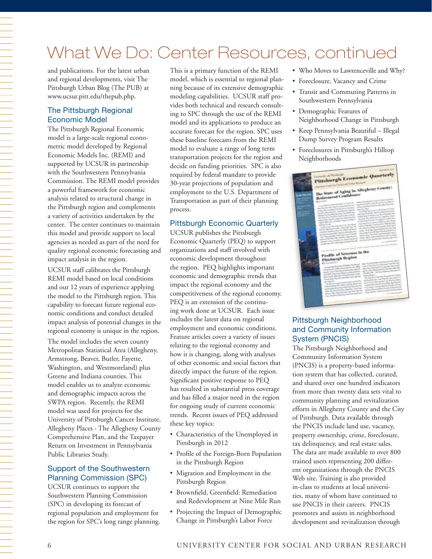# What We Do: Center Resources, continued

and publications. For the latest urban and regional developments, visit The Pittsburgh Urban Blog (The PUB) at www.ucsur.pitt.edu/thepub.php.

#### The Pittsburgh Regional Economic Model

The Pittsburgh Regional Economic model is a large-scale regional econometric model developed by Regional Economic Models Inc. (REMI) and supported by UCSUR in partnership with the Southwestern Pennsylvania Commission. The REMI model provides a powerful framework for economic analysis related to structural change in the Pittsburgh region and complements a variety of activities undertaken by the center. The center continues to maintain this model and provide support to local agencies as needed as part of the need for quality regional economic forecasting and impact analysis in the region.

UCSUR staff calibrates the Pittsburgh REMI model based on local conditions and our 12 years of experience applying the model to the Pittsburgh region. This capability to forecast future regional economic conditions and conduct detailed impact analysis of potential changes in the regional economy is unique in the region.

The model includes the seven county Metropolitan Statistical Area (Allegheny, Armstrong, Beaver, Butler, Fayette, Washington, and Westmoreland) plus Greene and Indiana counties. This model enables us to analyze economic and demographic impacts across the SWPA region. Recently, the REMI model was used for projects for the University of Pittsburgh Cancer Institute, Allegheny Places - The Allegheny County Comprehensive Plan, and the Taxpayer Return on Investment in Pennsylvania Public Libraries Study.

#### Support of the Southwestern Planning Commission (SPC)

UCSUR continues to support the Southwestern Planning Commission (SPC) in developing its forecast of regional population and employment for the region for SPC's long range planning. This is a primary function of the REMI model, which is essential to regional planning because of its extensive demographic modeling capabilities. UCSUR staff provides both technical and research consulting to SPC through the use of the REMI model and its applications to produce an accurate forecast for the region. SPC uses these baseline forecasts from the REMI model to evaluate a range of long term transportation projects for the region and decide on funding priorities. SPC is also required by federal mandate to provide 30-year projections of population and employment to the U.S. Department of Transportation as part of their planning process.

#### Pittsburgh Economic Quarterly

UCSUR publishes the Pittsburgh Economic Quarterly (PEQ) to support organizations and staff involved with economic development throughout the region. PEQ highlights important economic and demographic trends that impact the regional economy and the competitiveness of the regional economy. PEQ is an extension of the continuing work done at UCSUR. Each issue includes the latest data on regional employment and economic conditions. Feature articles cover a variety of issues relating to the regional economy and how it is changing, along with analyses of other economic and social factors that directly impact the future of the region. Significant positive response to PEQ has resulted in substantial press coverage and has filled a major need in the region for ongoing study of current economic trends. Recent issues of PEQ addressed these key topics:

- Characteristics of the Unemployed in Pittsburgh in 2012
- Profile of the Foreign-Born Population in the Pittsburgh Region
- Migration and Employment in the Pittsburgh Region
- Brownfield, Greenfield: Remediation and Redevelopment at Nine Mile Run
- Projecting the Impact of Demographic Change in Pittsburgh's Labor Force
- Who Moves to Lawrenceville and Why?
- Foreclosure, Vacancy and Crime
- Transit and Commuting Patterns in Southwestern Pennsylvania
- Demographic Features of Neighborhood Change in Pittsburgh
- Keep Pennsylvania Beautiful Illegal Dump Survey Program Results
- Foreclosures in Pittsburgh's Hilltop Neighborhoods



#### Pittsburgh Neighborhood and Community Information System (PNCIS)

The Pittsburgh Neighborhood and Community Information System (PNCIS) is a property-based information system that has collected, curated, and shared over one hundred indicators from more than twenty data sets vital to community planning and revitalization efforts in Allegheny County and the City of Pittsburgh. Data available through the PNCIS include land use, vacancy, property ownership, crime, foreclosure, tax delinquency, and real estate sales. The data are made available to over 800 trained users representing 200 different organizations through the PNCIS Web site. Training is also provided in-class to students at local universities, many of whom have continued to use PNCIS in their careers. PNCIS promotes and assists in neighborhood development and revitalization through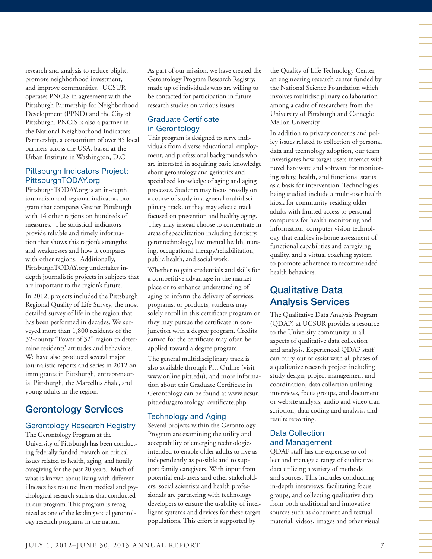research and analysis to reduce blight, promote neighborhood investment, and improve communities. UCSUR operates PNCIS in agreement with the Pittsburgh Partnership for Neighborhood Development (PPND) and the City of Pittsburgh. PNCIS is also a partner in the National Neighborhood Indicators Partnership, a consortium of over 35 local partners across the USA, based at the Urban Institute in Washington, D.C. Pittsburgh Indicators Project:

# PittsburghTODAY.org

PittsburghTODAY.org is an in-depth journalism and regional indicators program that compares Greater Pittsburgh with 14 other regions on hundreds of measures. The statistical indicators provide reliable and timely information that shows this region's strengths and weaknesses and how it compares with other regions. Additionally, PittsburghTODAY.org undertakes indepth journalistic projects in subjects that are important to the region's future.

In 2012, projects included the Pittsburgh Regional Quality of Life Survey, the most detailed survey of life in the region that has been performed in decades. We surveyed more than 1,800 residents of the 32-county "Power of 32" region to determine residents' attitudes and behaviors. We have also produced several major journalistic reports and series in 2012 on immigrants in Pittsburgh, entrepreneurial Pittsburgh, the Marcellus Shale, and young adults in the region.

# Gerontology Services

#### Gerontology Research Registry

The Gerontology Program at the University of Pittsburgh has been conducting federally funded research on critical issues related to health, aging, and family caregiving for the past 20 years. Much of what is known about living with different illnesses has resulted from medical and psychological research such as that conducted in our program. This program is recognized as one of the leading social gerontology research programs in the nation.

As part of our mission, we have created the Gerontology Program Research Registry, made up of individuals who are willing to be contacted for participation in future research studies on various issues.

#### Graduate Certificate in Gerontology

This program is designed to serve individuals from diverse educational, employment, and professional backgrounds who are interested in acquiring basic knowledge about gerontology and geriatrics and specialized knowledge of aging and aging processes. Students may focus broadly on a course of study in a general multidisciplinary track, or they may select a track focused on prevention and healthy aging. They may instead choose to concentrate in areas of specialization including dentistry, gerontechnology, law, mental health, nursing, occupational therapy/rehabilitation, public health, and social work.

Whether to gain credentials and skills for a competitive advantage in the marketplace or to enhance understanding of aging to inform the delivery of services, programs, or products, students may solely enroll in this certificate program or they may pursue the certificate in conjunction with a degree program. Credits earned for the certificate may often be applied toward a degree program.

The general multidisciplinary track is also available through Pitt Online (visit www.online.pitt.edu), and more information about this Graduate Certificate in Gerontology can be found at www.ucsur. pitt.edu/gerontology\_certificate.php.

#### Technology and Aging

Several projects within the Gerontology Program are examining the utility and acceptability of emerging technologies intended to enable older adults to live as independently as possible and to support family caregivers. With input from potential end-users and other stakeholders, social scientists and health professionals are partnering with technology developers to ensure the usability of intelligent systems and devices for these target populations. This effort is supported by

the Quality of Life Technology Center, an engineering research center funded by the National Science Foundation which involves multidisciplinary collaboration among a cadre of researchers from the University of Pittsburgh and Carnegie Mellon University.

In addition to privacy concerns and policy issues related to collection of personal data and technology adoption, our team investigates how target users interact with novel hardware and software for monitoring safety, health, and functional status as a basis for intervention. Technologies being studied include a multi-user health kiosk for community-residing older adults with limited access to personal computers for health monitoring and information, computer vision technology that enables in-home assessment of functional capabilities and caregiving quality, and a virtual coaching system to promote adherence to recommended health behaviors.

# Qualitative Data Analysis Services

The Qualitative Data Analysis Program (QDAP) at UCSUR provides a resource to the University community in all aspects of qualitative data collection and analysis. Experienced QDAP staff can carry out or assist with all phases of a qualitative research project including study design, project management and coordination, data collection utilizing interviews, focus groups, and document or website analysis, audio and video transcription, data coding and analysis, and results reporting.

#### Data Collection and Management

QDAP staff has the expertise to collect and manage a range of qualitative data utilizing a variety of methods and sources. This includes conducting in-depth interviews, facilitating focus groups, and collecting qualitative data from both traditional and innovative sources such as document and textual material, videos, images and other visual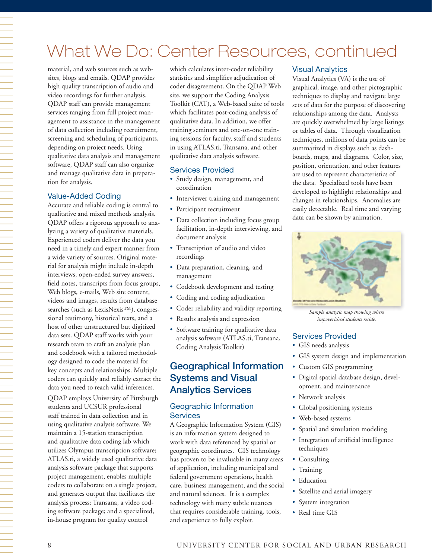# 一个人,我们就是一个人,我们就是一个人,我们就是一个人,我们就是一个人,我们就是一个人,我们就是一个人,我们就是一个人,我们就是一个人,我们就是一个人,我们就是一 tion for analysis.

# What We Do: Center Resources, continued

material, and web sources such as websites, blogs and emails. QDAP provides high quality transcription of audio and video recordings for further analysis. QDAP staff can provide management services ranging from full project management to assistance in the management of data collection including recruitment, screening and scheduling of participants, depending on project needs. Using qualitative data analysis and management software, QDAP staff can also organize and manage qualitative data in prepara-

#### Value-Added Coding

Accurate and reliable coding is central to qualitative and mixed methods analysis. QDAP offers a rigorous approach to analyzing a variety of qualitative materials. Experienced coders deliver the data you need in a timely and expert manner from a wide variety of sources. Original material for analysis might include in-depth interviews, open-ended survey answers, field notes, transcripts from focus groups, Web blogs, e-mails, Web site content, videos and images, results from database searches (such as LexisNexis™), congressional testimony, historical texts, and a host of other unstructured but digitized data sets. QDAP staff works with your research team to craft an analysis plan and codebook with a tailored methodology designed to code the material for key concepts and relationships. Multiple coders can quickly and reliably extract the data you need to reach valid inferences. QDAP employs University of Pittsburgh students and UCSUR professional staff trained in data collection and in using qualitative analysis software. We maintain a 15-station transcription and qualitative data coding lab which utilizes Olympus transcription software; ATLAS.ti, a widely used qualitative data analysis software package that supports project management, enables multiple coders to collaborate on a single project, and generates output that facilitates the analysis process; Transana, a video coding software package; and a specialized, in-house program for quality control

which calculates inter-coder reliability statistics and simplifies adjudication of coder disagreement. On the QDAP Web site, we support the Coding Analysis Toolkit (CAT), a Web-based suite of tools which facilitates post-coding analysis of qualitative data. In addition, we offer training seminars and one-on-one training sessions for faculty, staff and students in using ATLAS.ti, Transana, and other qualitative data analysis software.

#### Services Provided

- Study design, management, and coordination
- Interviewer training and management
- Participant recruitment
- Data collection including focus group facilitation, in-depth interviewing, and document analysis
- Transcription of audio and video recordings
- Data preparation, cleaning, and management
- Codebook development and testing
- Coding and coding adjudication
- Coder reliability and validity reporting
- Results analysis and expression
- Software training for qualitative data analysis software (ATLAS.ti, Transana, Coding Analysis Toolkit)

# Geographical Information Systems and Visual Analytics Services

#### Geographic Information **Services**

A Geographic Information System (GIS) is an information system designed to work with data referenced by spatial or geographic coordinates. GIS technology has proven to be invaluable in many areas of application, including municipal and federal government operations, health care, business management, and the social and natural sciences. It is a complex technology with many subtle nuances that requires considerable training, tools, and experience to fully exploit.

#### Visual Analytics

Visual Analytics (VA) is the use of graphical, image, and other pictographic techniques to display and navigate large sets of data for the purpose of discovering relationships among the data. Analysts are quickly overwhelmed by large listings or tables of data. Through visualization techniques, millions of data points can be summarized in displays such as dashboards, maps, and diagrams. Color, size, position, orientation, and other features are used to represent characteristics of the data. Specialized tools have been developed to highlight relationships and changes in relationships. Anomalies are easily detectable. Real time and varying data can be shown by animation.



*Sample analytic map showing where impoverished students reside.*

#### Services Provided

- GIS needs analysis
- GIS system design and implementation
- Custom GIS programming
- Digital spatial database design, development, and maintenance
- Network analysis
- Global positioning systems
- Web-based systems
- Spatial and simulation modeling
- Integration of artificial intelligence techniques
- Consulting
- Training
- Education
- Satellite and aerial imagery
- System integration
- Real time GIS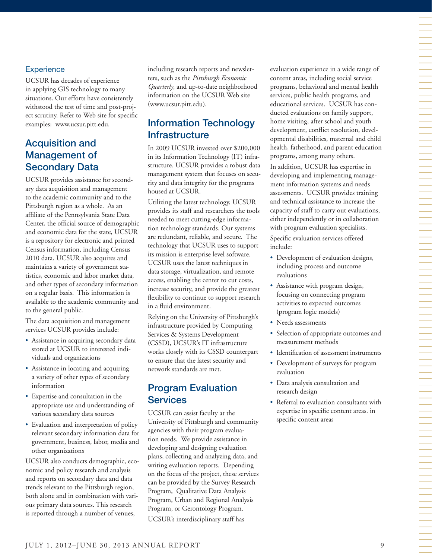#### **Experience**

UCSUR has decades of experience in applying GIS technology to many situations. Our efforts have consistently withstood the test of time and post-project scrutiny. Refer to Web site for specific examples: www.ucsur.pitt.edu.

# Acquisition and Management of Secondary Data

UCSUR provides assistance for secondary data acquisition and management to the academic community and to the Pittsburgh region as a whole. As an affiliate of the Pennsylvania State Data Center, the official source of demographic and economic data for the state, UCSUR is a repository for electronic and printed Census information, including Census 2010 data. UCSUR also acquires and maintains a variety of government statistics, economic and labor market data, and other types of secondary information on a regular basis. This information is available to the academic community and to the general public.

The data acquisition and management services UCSUR provides include:

- Assistance in acquiring secondary data stored at UCSUR to interested individuals and organizations
- Assistance in locating and acquiring a variety of other types of secondary information
- Expertise and consultation in the appropriate use and understanding of various secondary data sources
- Evaluation and interpretation of policy relevant secondary information data for government, business, labor, media and other organizations

UCSUR also conducts demographic, economic and policy research and analysis and reports on secondary data and data trends relevant to the Pittsburgh region, both alone and in combination with various primary data sources. This research is reported through a number of venues,

including research reports and newsletters, such as the *Pittsburgh Economic Quarterly*, and up-to-date neighborhood information on the UCSUR Web site (www.ucsur.pitt.edu).

# Information Technology **Infrastructure**

In 2009 UCSUR invested over \$200,000 in its Information Technology (IT) infrastructure. UCSUR provides a robust data management system that focuses on security and data integrity for the programs housed at UCSUR.

Utilizing the latest technology, UCSUR provides its staff and researchers the tools needed to meet cutting-edge information technology standards. Our systems are redundant, reliable, and secure. The technology that UCSUR uses to support its mission is enterprise level software. UCSUR uses the latest techniques in data storage, virtualization, and remote access, enabling the center to cut costs, increase security, and provide the greatest flexibility to continue to support research in a fluid environment.

Relying on the University of Pittsburgh's infrastructure provided by Computing Services & Systems Development (CSSD), UCSUR's IT infrastructure works closely with its CSSD counterpart to ensure that the latest security and network standards are met.

## Program Evaluation **Services**

UCSUR can assist faculty at the University of Pittsburgh and community agencies with their program evaluation needs. We provide assistance in developing and designing evaluation plans, collecting and analyzing data, and writing evaluation reports. Depending on the focus of the project, these services can be provided by the Survey Research Program, Qualitative Data Analysis Program, Urban and Regional Analysis Program, or Gerontology Program. UCSUR's interdisciplinary staff has

evaluation experience in a wide range of content areas, including social service programs, behavioral and mental health services, public health programs, and educational services. UCSUR has conducted evaluations on family support, home visiting, after school and youth development, conflict resolution, developmental disabilities, maternal and child health, fatherhood, and parent education programs, among many others.

In addition, UCSUR has expertise in developing and implementing management information systems and needs assessments. UCSUR provides training and technical assistance to increase the capacity of staff to carry out evaluations, either independently or in collaboration with program evaluation specialists.

Specific evaluation services offered include:

- Development of evaluation designs, including process and outcome evaluations
- Assistance with program design, focusing on connecting program activities to expected outcomes (program logic models)
- Needs assessments
- Selection of appropriate outcomes and measurement methods
- Identification of assessment instruments
- Development of surveys for program evaluation
- Data analysis consultation and research design
- Referral to evaluation consultants with expertise in specific content areas. in specific content areas

一个人,我们就是一个人,我们就是一个人,我们就是一个人,我们就是一个人,我们就是一个人,我们就是一个人,我们就是一个人,我们就是一个人,我们就是一个人,我们就是一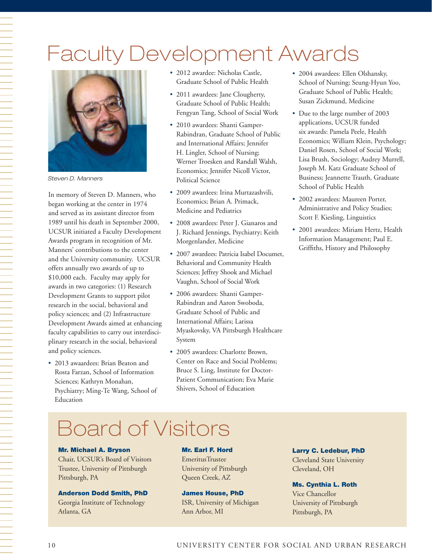# Faculty Development Awards



*Steven D. Manners*

In memory of Steven D. Manners, who began working at the center in 1974 and served as its assistant director from 1989 until his death in September 2000, UCSUR initiated a Faculty Development Awards program in recognition of Mr. Manners' contributions to the center and the University community. UCSUR offers annually two awards of up to \$10,000 each. Faculty may apply for awards in two categories: (1) Research Development Grants to support pilot research in the social, behavioral and policy sciences; and (2) Infrastructure Development Awards aimed at enhancing faculty capabilities to carry out interdisciplinary research in the social, behavioral and policy sciences.

• 2013 awaardees: Brian Beaton and Rosta Farzan, School of Information Sciences; Kathryn Monahan, Psychiatry; Ming-Te Wang, School of Education

- 2012 awardee: Nicholas Castle, Graduate School of Public Health
- 2011 awardees: Jane Clougherty, Graduate School of Public Health; Fengyan Tang, School of Social Work
- 2010 awardees: Shanti Gamper-Rabindran, Graduate School of Public and International Affairs; Jennifer H. Lingler, School of Nursing; Werner Troesken and Randall Walsh, Economics; Jennifer Nicoll Victor, Political Science
- 2009 awardees: Irina Murtazashvili, Economics; Brian A. Primack, Medicine and Pediatrics
- 2008 awardees: Peter J. Gianaros and J. Richard Jennings, Psychiatry; Keith Morgenlander, Medicine
- 2007 awardees: Patricia Isabel Documet, Behavioral and Community Health Sciences; Jeffrey Shook and Michael Vaughn, School of Social Work
- 2006 awardees: Shanti Gamper-Rabindran and Aaron Swoboda, Graduate School of Public and International Affairs; Larissa Myaskovsky, VA Pittsburgh Healthcare System
- 2005 awardees: Charlotte Brown, Center on Race and Social Problems; Bruce S. Ling, Institute for Doctor-Patient Communication; Eva Marie Shivers, School of Education
- 2004 awardees: Ellen Olshansky, School of Nursing; Seung-Hyun Yoo, Graduate School of Public Health; Susan Zickmund, Medicine
- Due to the large number of 2003 applications, UCSUR funded six awards: Pamela Peele, Health Economics; William Klein, Psychology; Daniel Rosen, School of Social Work; Lisa Brush, Sociology; Audrey Murrell, Joseph M. Katz Graduate School of Business; Jeannette Trauth, Graduate School of Public Health
- 2002 awardees: Maureen Porter, Administrative and Policy Studies; Scott F. Kiesling, Linguistics
- 2001 awardees: Miriam Hertz, Health Information Management; Paul E. Griffiths, History and Philosophy

# Board of Visitors

#### Mr. Michael A. Bryson

Chair, UCSUR's Board of Visitors Trustee, University of Pittsburgh Pittsburgh, PA

#### Anderson Dodd Smith, PhD

Georgia Institute of Technology Atlanta, GA

#### Mr. Earl F. Hord

EmeritusTrustee University of Pittsburgh Queen Creek, AZ

#### James House, PhD

ISR, University of Michigan Ann Arbor, MI

Larry C. Ledebur, PhD Cleveland State University

#### Cleveland, OH

#### Ms. Cynthia L. Roth

Vice Chancellor University of Pittsburgh Pittsburgh, PA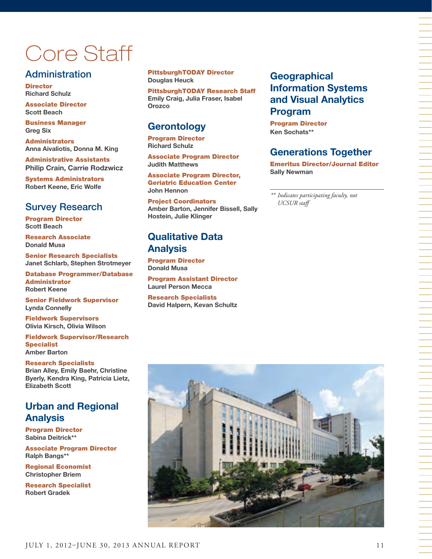# Core Staff

# **Administration**

**Director Richard Schulz** 

Associate Director **Scott Beach**

Business Manager **Greg Six** 

Administrators **Anna Aivaliotis, Donna M. King** 

Administrative Assistants **Philip Crain, Carrie Rodzwicz**

Systems Administrators **Robert Keene, Eric Wolfe**

# Survey Research

Program Director **Scott Beach**

Research Associate **Donald Musa** 

Senior Research Specialists **Janet Schlarb, Stephen Strotmeyer**

Database Programmer/Database Administrator **Robert Keene**

Senior Fieldwork Supervisor **Lynda Connelly**

Fieldwork Supervisors **Olivia Kirsch, Olivia Wilson**

Fieldwork Supervisor/Research **Specialist Amber Barton**

#### Research Specialists

**Brian Alley, Emily Baehr, Christine Byerly, Kendra King, Patricia Lietz, Elizabeth Scott**

# **Urban and Regional Analysis**

Program Director **Sabina Deitrick\*\***

Associate Program Director **Ralph Bangs\*\***

Regional Economist **Christopher Briem**

Research Specialist **Robert Gradek**

#### PittsburghTODAY Director **Douglas Heuck**

PittsburghTODAY Research Staff **Emily Craig, Julia Fraser, Isabel Orozco**

# **Gerontology**

Program Director **Richard Schulz**

Associate Program Director **Judith Matthews**

Associate Program Director, Geriatric Education Center **John Hennon** 

Project Coordinators **Amber Barton, Jennifer Bissell, Sally Hostein, Julie Klinger**

# **Qualitative Data Analysis**

Program Director **Donald Musa**

Program Assistant Director **Laurel Person Mecca**

Research Specialists **David Halpern, Kevan Schultz**

# **Geographical Information Systems and Visual Analytics Program**

Program Director **Ken Sochats\*\***

# **Generations Together**

Emeritus Director/Journal Editor **Sally Newman**

*\*\* Indicates participating faculty, not UCSUR staff* 

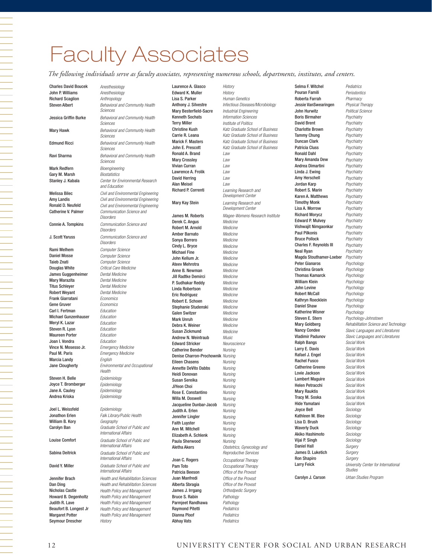# Faculty Associates

*The following individuals serve as faculty associates, representing numerous schools, departments, institutes, and centers.*

Mark Redfern *Bioengineering* Gary M. Marsh *Biostatistics* Rami Melhem *Computer Science* Taieb Znati *Computer Science* Douglas White *Critical Care Medicine* James Guggenheimer *Dental Medicine* Mary Marazita *Dental Medicine* Titus Schleyer *Dental Medicine* Robert Weyant *Dental Medicine* Frank Giarratani *Economics* Gene Gruver *Economics* Carl I. Fertman *Education* Michael Gunzenhauser *Education* Meryl K. Lazar *Education* Steven R. Lyon *Education* Maureen Porter *Education* Joan I. Vondra *Education* Vince N. Mosesso Jr. *Emergency Medicine* Paul M. Paris *Emergency Medicine* Marcia Landy *English*

Steven H. Belle *Epidemiology* Joyce T. Bromberger *Epidemiology* Jane A. Cauley *Epidemiology* Andrea Kriska *Epidemiology*

William B. Kory *Geography*

Beaufort B. Longest Jr *Health Policy and Management*  Margaret Potter *Health Policy and Management*  Seymour Drescher *History*

Charles David Boucek *Anesthesiology* John P. Williams *Anesthesiology* **Richard Scaglion** *Anthropology*<br>**Steven Albert** *Behavioral an* Behavioral and Community Health *Sciences* Jessica Griffin Burke *Behavioral and Community Health Sciences* Mary Hawk *Behavioral and Community Health Sciences* Edmund Ricci *Behavioral and Community Health Sciences* Ravi Sharma *Behavioral and Community Health Sciences* Stanley J. Kabala *Center for Environmental Research and Education* Melissa Bilec *Civil and Environmental Engineering* Amy Landis *Civil and Environmental Engineering* **Civil and Environmental Engineering** Catherine V. Palmer *Communication Science and Disorders* Connie A. Tompkins *Communication Science and Disorders* J. Scott Yaruss *Communication Science and Disorders* Computer Science Jane Clougherty *Environmental and Occupational Health* Joel L. Weissfeld *Epidemiology* Jonathon Erlen *Falk Library/Public Health* Carolyn Ban *Graduate School of Public and International Affairs*  Louise Comfort *Graduate School of Public and International Affairs* Sabina Deitrick *Graduate School of Public and International Affairs* David Y. Miller *Graduate School of Public and International Affairs* Jennifer Brach *Health and Rehabilitation Sciences* Dan Ding *Health and Rehabilitation Sciences* **Health Policy and Management** Howard B. Degenholtz *Health Policy and Management* Judith R. Lave *Health Policy and Management* 

Edward K. Muller *History* Lisa S. Parker *Human Genetics* Mary Besterfield-Sacre *Industrial Engineering* Kenneth Sochats *Information Sciences* Terry Miller *Institute of Politics* Ronald A. Brand *Law* Mary Crossley *Law* Vivian Curran *Law* Lawrence A. Frolik *Law* David Herring *Law* Alan Meisel *Law* Mary Kay Stein *Learning Research and*  Derek C. Angus *Medicine* Robert M. Arnold *Medicine* Amber Barnato *Medicine* Sonya Borrero *Medicine* Cindy L. Bryce *Medicine* Michael Fine *Medicine* John Kellum Jr. *Medicine* Ateev Mehrotra *Medicine* Anne B. Newman *Medicine* Jill Radtke Demirci *Medicine* P. Sudhakar Reddy *Medicine* Linda Robertson *Medicine* **Eric Rodriguez** Robert E. Schoen *Medicine* Stephanie Studenski *Medicine* Galen Switzer *Medicine* Mark Unruh *Medicine* Debra K. Weiner *Medicine* Susan Zickmund *Medicine* Andrew N. Weintraub *Music* Edward Stricker *Neuroscience* Catherine Bender *Nursing* Denise Charron-Prochownik *Nursing* Eileen Chasens *Nursing* Annette DeVito Dabbs *Nursing* Heidi Donovan *Nursing* Susan Sereika *Nursing* JiYeon Choi *Nursing* Rose E. Constantino *Nursing* Willa M. Doswell *Nursing* Jacqueline Dunbar-Jacob *Nursing* Judith A. Erlen *Nursing* Jennifer Lingler *Nursing* Faith Luyster *Nursing* Ann M. Mitchell *Nursing* Elizabeth A. Schlenk *Nursing* Paula Sherwood *Nursing* Joan C. Rogers *Occupational Therapy* Pam Toto *Occupational Therapy* Patricia Beeson *Office of the Provost* Juan Manfredi *Office of the Provost* Alberta Sbragia *Office of the Provost* James J. Irrgang *Orthodpedic Surgery* Bruce S. Rabin *Pathology* Parmjeet Randhawa *Pathology* Raymond Pitetti *Pediatrics* Dianna Ploof *Pediatrics* Abhay Vats *Pediatrics*

Laurence A. Glasco *History* Anthony J. Silvestre *Infectious Diseases/Microbiology* Christine Kush *Katz Graduate School of Business* Carrie R. Leana *Katz Graduate School of Business* Marick F. Masters *Katz Graduate School of Business* Katz Graduate School of Business Learning Research and *Development Center* **Development Center** James M. Roberts *Magee-Womens Research Institute* Aletha Akers *Obstetrics, Gynecology and Reproductive Services*

Selma F. Witchel *Pediatrics* Pouran Famili *Periodontics* **Roberta Farrah** *Pharmacy*<br>Jessie VanSwearingen *Physical Therapy* **Jessie VanSwearingen** John Hurwitz *Political Science* **Boris Birmaher** David Brent *Psychiatry* Charlotte Brown *Psychiatry* Tammy Chung *Psychiatry* Duncan Clark *Psychiatry* Patricia Cluss *Psychiatry* Ronald Dahl *Psychiatry* Mary Amanda Dew *Psychiatry* Andrea Dimartini *Psychiatry* Linda J. Ewing *Psychiatry* Amy Herschell *Psychiatry* Jordan Karp *Psychiatry* Robert S. Marin *Psychiatry* Karen A. Matthews *Psychiatry* Timothy Monk *Psychiatry* Lisa A. Morrow *Psychiatry* Richard Morycz *Psychiatry* Edward P. Mulvey *Psychiatry* Vishwajit Nimgaonkar *Psychiatry* Paul Pilkonis *Psychiatry* Bruce Pollock *Psychiatry* Charles F. Reynolds III *Psychiatry* Neal Ryan *Psychiatry* Magda Stouthamer-Loeber *Psychiatry* Peter Gianaros *Psychology* Christina Groark *Psychology* Thomas Kamarck *Psychology* William Klein *Psychology* John Levine *Psychology* Robert McCall *Psychology* Kathryn Roecklein *Psychology* Daniel Shaw *Psychology* Katherine Wisner *Psychology* Steven E. Stern *Psychology-Johnstown* Ralph Bangs *Social Work* Larry E. Davis *Social Work* Rafael J. Engel *Social Work* Rachel Fusco *Social Work* **Catherine Greeno** *Social Work*<br> **Lovie Jackson** *Social Work* **Lovie Jackson** Lambert Maguire *Social Work* Helen Petracchi *Social Work* Mary Rauktis *Social Work*  Tracy M. Soska *Social Work* Hide Yamatani *Social Work* Joyce Bell *Sociology* Kathleen M. Blee *Sociology* Lisa D. Brush *Sociology* Waverly Duck *Sociology* Akiko Hashimoto *Sociology* Vijai P. Singh *Sociology* Daniel Hall *Surgery* James D. Luketich *Surgery* **Ron Shapiro** 

Mary Goldberg *Rehabilitation Science and Technology* Nancy Condee *Slavic Languages and Literatures* Vladimir Padunov *Slavic Languages and Literatures* Larry Feick *University Center for International Studies* Carolyn J. Carson *Urban Studies Program*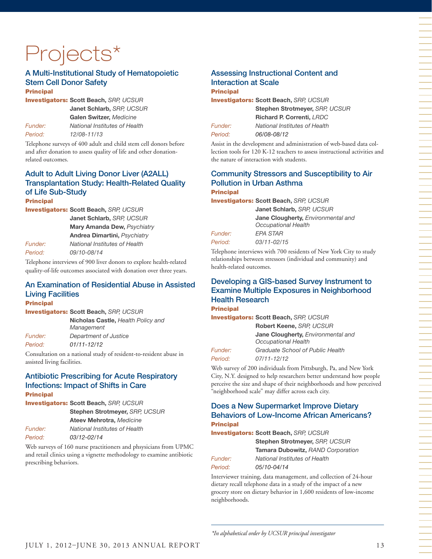# Projects\*

#### A Multi-Institutional Study of Hematopoietic Stem Cell Donor Safety **Principal**

Investigators: **Scott Beach,** *SRP, UCSUR* **Janet Schlarb,** *SRP, UCSUR*

**Galen Switzer,** *Medicine Funder: National Institutes of Health Period: 12/08-11/13*

Telephone surveys of 400 adult and child stem cell donors before and after donation to assess quality of life and other donationrelated outcomes.

## Adult to Adult Living Donor Liver (A2ALL) Transplantation Study: Health-Related Quality of Life Sub-Study

**Principal** Investigators: **Scott Beach,** *SRP, UCSUR* **Janet Schlarb,** *SRP, UCSUR* **Mary Amanda Dew,** *Psychiatry* **Andrea Dimartini,** *Psychiatry Funder: National Institutes of Health Period: 09/10-08/14*

Telephone interviews of 900 liver donors to explore health-related quality-of-life outcomes associated with donation over three years.

## An Examination of Residential Abuse in Assisted Living Facilities

**Principal** 

Investigators: **Scott Beach,** *SRP, UCSUR* **Nicholas Castle,** *Health Policy and Management Funder: Department of Justice Period: 01/11-12/12*

Consultation on a national study of resident-to-resident abuse in assisted living facilities.

#### Antibiotic Prescribing for Acute Respiratory Infections: Impact of Shifts in Care Principal

Investigators: **Scott Beach,** *SRP, UCSUR* **Stephen Strotmeyer,** *SRP, UCSUR* **Ateev Mehrotra,** *Medicine Funder: National Institutes of Health Period: 03/12-02/14*

Web surveys of 160 nurse practitioners and phsysicians from UPMC and retail clinics using a vignette methodology to examine antibiotic prescribing behaviors.

#### Assessing Instructional Content and Interaction at Scale **Principal**

Investigators: **Scott Beach,** *SRP, UCSUR* **Stephen Strotmeyer,** *SRP, UCSUR* **Richard P. Correnti,** *LRDC Funder: National Institutes of Health*

*Period: 06/08-08/12*

Assist in the development and administration of web-based data collection tools for 120 K-12 teachers to assess instructional activities and the nature of interaction with students.

#### Community Stressors and Susceptibility to Air Pollution in Urban Asthma **Principal**

Investigators: **Scott Beach,** *SRP, UCSUR*

**Janet Schlarb,** *SRP, UCSUR*

**Jane Clougherty,** *Environmental and Occupational Health*

*Funder: EPA STAR Period: 03/11-02/15*

Telephone interviews with 700 residents of New York City to study relationships between stressors (individual and community) and health-related outcomes.

#### Developing a GIS-based Survey Instrument to Examine Multiple Exposures in Neighborhood Health Research

Principal Investigators: **Scott Beach,** *SRP, UCSUR*

**Robert Keene,** *SRP, UCSUR* **Jane Clougherty,** *Environmental and Occupational Health Funder: Graduate School of Public Health*

*Period: 07/11-12/12* 

Web survey of 200 individuals from Pittsburgh, Pa, and New York City, N.Y. designed to help researchers better understand how people perceive the size and shape of their neighborhoods and how perceived "neighborhood scale" may differ across each city.

#### Does a New Supermarket Improve Dietary Behaviors of Low-Income African Americans? **Principal**

Investigators: **Scott Beach,** *SRP, UCSUR*

**Stephen Strotmeyer,** *SRP, UCSUR* **Tamara Dubowitz,** *RAND Corporation Funder: National Institutes of Health*

*Period: 05/10-04/14*

Interviewer training, data management, and collection of 24-hour dietary recall telephone data in a study of the impact of a new grocery store on dietary behavior in 1,600 residents of low-income neighborhoods.

*\*In alphabetical order by UCSUR principal investigator*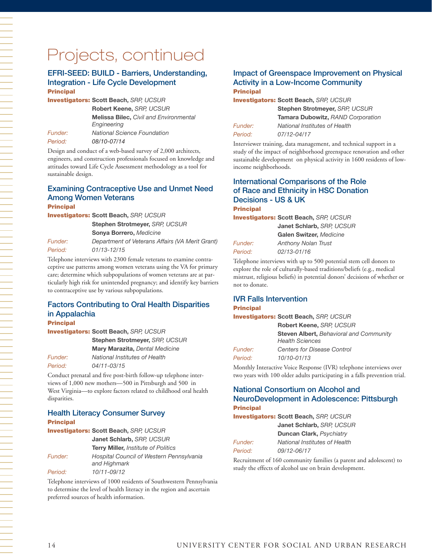#### EFRI-SEED: BUILD - Barriers, Understanding, Integration - Life Cycle Development **Principal**

Investigators: **Scott Beach,** *SRP, UCSUR*

**Robert Keene,** *SRP, UCSUR*

**Melissa Bilec,** *Civil and Environmental Engineering Funder: National Science Foundation*

*Period: 08/10-07/14*

Design and conduct of a web-based survey of 2,000 architects, engineers, and construction professionals focused on knowledge and attitudes toward Life Cycle Assessment methodology as a tool for sustainable design.

#### Examining Contraceptive Use and Unmet Need Among Women Veterans **Principal**

Investigators: **Scott Beach,** *SRP, UCSUR* **Stephen Strotmeyer,** *SRP, UCSUR*

**Sonya Borrero,** *Medicine Funder: Department of Veterans Affairs (VA Merit Grant) Period: 01/13-12/15*

Telephone interviews with 2300 female veterans to examine contraceptive use patterns among women veterans using the VA for primary care; determine which subpopulations of women veterans are at particularly high risk for unintended pregnancy; and identify key barriers to contraceptive use by various subpopulations.

## Factors Contributing to Oral Health Disparities in Appalachia

Principal

Investigators: **Scott Beach,** *SRP, UCSUR*

**Stephen Strotmeyer,** *SRP, UCSUR*

**Mary Marazita,** *Dental Medicine Funder: National Institutes of Health*

*Period: 04/11-03/15*

Conduct prenatal and five post-birth follow-up telephone interviews of 1,000 new mothers—500 in Pittsburgh and 500 in West Virginia—to explore factors related to childhood oral health disparities.

#### Health Literacy Consumer Survey **Principal**

Investigators: **Scott Beach,** *SRP, UCSUR* **Janet Schlarb,** *SRP, UCSUR* **Terry Miller,** *Institute of Politics Funder: Hospital Council of Western Pennsylvania and Highmark Period: 10/11-09/12*

Telephone interviews of 1000 residents of Southwestern Pennsylvania to determine the level of health literacy in the region and ascertain preferred sources of health information.

#### Impact of Greenspace Improvement on Physical Activity in a Low-Income Community **Principal**

Investigators: **Scott Beach,** *SRP, UCSUR*

| <i>Funder:</i> |  |
|----------------|--|
| Period:        |  |

**Stephen Strotmeyer,** *SRP, UCSUR* **Tamara Dubowitz,** *RAND Corporation Funder: National Institutes of Health Period: 07/12-04/17* 

Interviewer training, data management, and technical support in a study of the impact of neighborhood greenspace renovation and other sustainable development on physical activity in 1600 residents of lowincome neighborhoods.

## International Comparisons of the Role of Race and Ethnicity in HSC Donation Decisions - US & UK

**Principal** 

Investigators: **Scott Beach,** *SRP, UCSUR* **Janet Schlarb,** *SRP, UCSUR* **Galen Switzer,** *Medicine*

*Funder: Anthony Nolan Trust Period: 02/13-01/16*

Telephone interviews with up to 500 potential stem cell donors to explore the role of culturally-based traditions/beliefs (e.g., medical mistrust, religious beliefs) in potential donors' decisions of whether or not to donate.

# IVR Falls Intervention

#### **Principal**

Investigators: **Scott Beach,** *SRP, UCSUR*

|         | Robert Keene, SRP, UCSUR                                                 |
|---------|--------------------------------------------------------------------------|
|         | <b>Steven Albert, Behavioral and Community</b><br><b>Health Sciences</b> |
| Funder: | Centers for Disease Control                                              |
| Period: | 10/10-01/13                                                              |

Monthly Interactive Voice Response (IVR) telephone interviews over two years with 100 older adults participating in a falls prevention trial.

# National Consortium on Alcohol and NeuroDevelopment in Adolescence: Pittsburgh

#### Principal

Investigators: **Scott Beach,** *SRP, UCSUR* **Janet Schlarb,** *SRP, UCSUR*

**Duncan Clark,** *Psychiatry Funder: National Institutes of Health Period: 09/12-06/17*

Recruitment of 160 community families (a parent and adolescent) to study the effects of alcohol use on brain development.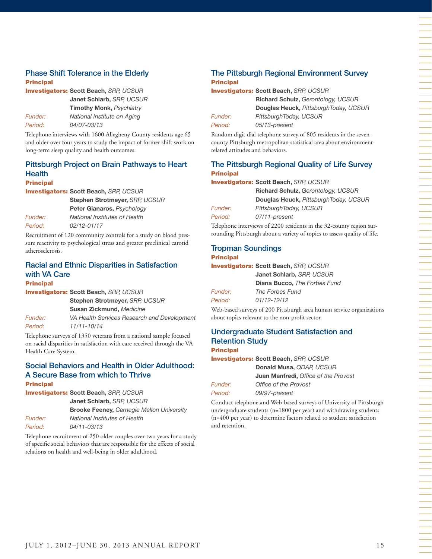#### Phase Shift Tolerance in the Elderly Principal

Investigators: **Scott Beach,** *SRP, UCSUR* **Janet Schlarb,** *SRP, UCSUR* **Timothy Monk,** *Psychiatry Funder: National Institute on Aging Period: 04/07-03/13*

Telephone interviews with 1600 Allegheny County residents age 65 and older over four years to study the impact of former shift work on long-term sleep quality and health outcomes.

## Pittsburgh Project on Brain Pathways to Heart **Health**

#### Principal

Investigators: **Scott Beach,** *SRP, UCSUR*

**Stephen Strotmeyer,** *SRP, UCSUR* **Peter Gianaros,** *Psychology Funder: National Institutes of Health Period: 02/12-01/17*

Recruitment of 120 community controls for a study on blood pressure reactivity to psychological stress and greater preclinical carotid atherosclerosis.

## Racial and Ethnic Disparities in Satisfaction with VA Care

#### **Principal**

Investigators: **Scott Beach,** *SRP, UCSUR*

*Period: 11/11-10/14*

**Stephen Strotmeyer,** *SRP, UCSUR* **Susan Zickmund,** *Medicine Funder: VA Health Services Research and Development* 

Telephone surveys of 1350 veterans from a national sample focused on racial disparities in satisfaction with care received through the VA Health Care System.

#### Social Behaviors and Health in Older Adulthood: A Secure Base from which to Thrive **Principal**

Investigators: **Scott Beach,** *SRP, UCSUR* **Janet Schlarb,** *SRP, UCSUR* **Brooke Feeney,** *Carnegie Mellon University Funder: National Institutes of Health*

*Period: 04/11-03/13*  Telephone recruitment of 250 older couples over two years for a study of specific social behaviors that are responsible for the effects of social

relations on health and well-being in older adulthood.

The Pittsburgh Regional Environment Survey **Principal** 

Investigators: **Scott Beach,** *SRP, UCSUR*

*Period: 05/13-present*

**Richard Schulz,** *Gerontology, UCSUR* **Douglas Heuck,** *PittsburghToday, UCSUR Funder: PittsburghToday, UCSUR*

Random digit dial telephone survey of 805 residents in the sevencounty Pittsburgh metropolitan statistical area about environmentrelated attitudes and behaviors.

#### The Pittsburgh Regional Quality of Life Survey **Principal**

Investigators: **Scott Beach,** *SRP, UCSUR*

**Richard Schulz,** *Gerontology, UCSUR* **Douglas Heuck,** *PittsburghToday, UCSUR Funder: PittsburghToday, UCSUR Period: 07/11-present*

Telephone interviews of 2200 residents in the 32-county region surrounding Pittsburgh about a variety of topics to assess quality of life.

## Tropman Soundings

#### Principal

Investigators: **Scott Beach,** *SRP, UCSUR*

|                | Janet Schlarb, SRP, UCSUR           |
|----------------|-------------------------------------|
|                | <b>Diana Bucco, The Forbes Fund</b> |
| <b>Funder:</b> | The Forbes Fund                     |
| Period:        | 01/12-12/12                         |
|                |                                     |

Web-based surveys of 200 Pittsburgh area human service organizations about topics relevant to the non-profit sector.

#### Undergraduate Student Satisfaction and Retention Study Principal

Investigators: **Scott Beach,** *SRP, UCSUR*

**Donald Musa,** *QDAP, UCSUR* **Juan Manfredi,** *Office of the Provost Funder: Office of the Provost Period: 09/97-present*

Conduct telephone and Web-based surveys of University of Pittsburgh undergraduate students (n=1800 per year) and withdrawing students (n=400 per year) to determine factors related to student satisfaction and retention.

一个人,我们就是一个人,我们就是一个人,我们就是一个人,我们就是一个人,我们就是一个人,我们就是一个人,我们就是一个人,我们就是一个人,我们就是一个人,我们就是一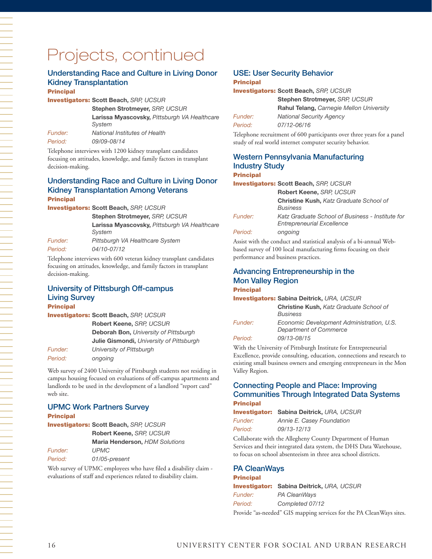## Understanding Race and Culture in Living Donor Kidney Transplantation

**Principal** 

Investigators: **Scott Beach,** *SRP, UCSUR*

**Stephen Strotmeyer,** *SRP, UCSUR* **Larissa Myascovsky,** *Pittsburgh VA Healthcare System Funder: National Institutes of Health*

*Period: 09/09-08/14*

Telephone interviews with 1200 kidney transplant candidates focusing on attitudes, knowledge, and family factors in transplant decision-making.

#### Understanding Race and Culture in Living Donor Kidney Transplantation Among Veterans Principal

Investigators: **Scott Beach,** *SRP, UCSUR*

**Stephen Strotmeyer,** *SRP, UCSUR* **Larissa Myascovsky,** *Pittsburgh VA Healthcare System Funder: Pittsburgh VA Healthcare System*

*Period: 04/10-07/12* 

Telephone interviews with 600 veteran kidney transplant candidates focusing on attitudes, knowledge, and family factors in transplant decision-making.

#### University of Pittsburgh Off-campus Living Survey **Principal**

Investigators: **Scott Beach,** *SRP, UCSUR*

**Robert Keene,** *SRP, UCSUR* **Deborah Bon,** *University of Pittsburgh* **Julie Gismondi,** *University of Pittsburgh Funder: University of Pittsburgh Period: ongoing*

Web survey of 2400 University of Pittsburgh students not residing in campus housing focused on evaluations of off-campus apartments and landlords to be used in the development of a landlord "report card" web site.

## UPMC Work Partners Survey

**Principal** 

Investigators: **Scott Beach,** *SRP, UCSUR* **Robert Keene,** *SRP, UCSUR* **Maria Henderson,** *HDM Solutions Funder: UPMC Period: 01/05-present*

Web survey of UPMC employees who have filed a disability claim evaluations of staff and experiences related to disability claim.

# USE: User Security Behavior

#### **Principal**

Investigators: **Scott Beach,** *SRP, UCSUR*

**Stephen Strotmeyer,** *SRP, UCSUR* **Rahul Telang,** *Carnegie Mellon University Funder: National Security Agency Period: 07/12-06/16*

Telephone recruitment of 600 participants over three years for a panel study of real world internet computer security behavior.

### Western Pennsylvania Manufacturing Industry Study

#### Principal

Investigators: **Scott Beach,** *SRP, UCSUR*

|                | Robert Keene, SRP, UCSUR                                                              |
|----------------|---------------------------------------------------------------------------------------|
|                | <b>Christine Kush, Katz Graduate School of</b><br><b>Business</b>                     |
|                |                                                                                       |
| <i>Funder:</i> | Katz Graduate School of Business - Institute for<br><b>Entrepreneurial Excellence</b> |
| Period:        | ongoing                                                                               |

Assist with the conduct and statistical analysis of a bi-annual Webbased survey of 100 local manufacturing firms focusing on their performance and business practices.

#### Advancing Entrepreneurship in the Mon Valley Region **Principal**

#### Investigators: **Sabina Deitrick,** *URA, UCSUR*

|         | <b>INVESUGALORS: SADINA DELITICK, UHA, UGSUR</b>                    |
|---------|---------------------------------------------------------------------|
|         | <b>Christine Kush, Katz Graduate School of</b><br><b>Business</b>   |
| Funder: | Economic Development Administration, U.S.<br>Department of Commerce |
| Period: | 09/13-08/15                                                         |

With the University of Pittsburgh Institute for Entrepreneurial Excellence, provide consulting, education, connections and research to existing small business owners and emerging entrepreneurs in the Mon Valley Region.

#### Connecting People and Place: Improving Communities Through Integrated Data Systems Principal

```
Investigator: Sabina Deitrick, URA, UCSUR
Funder: Annie E. Casey Foundation
Period: 09/13-12/13
```
Collaborate with the Allegheny County Department of Human Services and their integrated data system, the DHS Data Warehouse, to focus on school absenteeism in three area school districts.

#### PA CleanWays

#### Principal

Investigator: **Sabina Deitrick,** *URA, UCSUR Funder: PA CleanWays Period: Completed 07/12* Provide "as-needed" GIS mapping services for the PA CleanWays sites.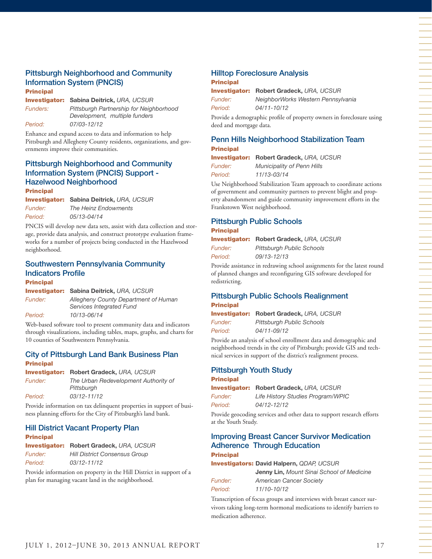#### Pittsburgh Neighborhood and Community Information System (PNCIS) **Principal**

Investigator: **Sabina Deitrick,** *URA, UCSUR Funders: Pittsburgh Partnership for Neighborhood* 

*Development, multiple funders Period: 07/03-12/12* 

Enhance and expand access to data and information to help Pittsburgh and Allegheny County residents, organizations, and governments improve their communities.

## Pittsburgh Neighborhood and Community Information System (PNCIS) Support - Hazelwood Neighborhood

**Principal** 

Investigator: **Sabina Deitrick,** *URA, UCSUR Funder: The Heinz Endowments Period: 05/13-04/14* 

PNCIS will develop new data sets, assist with data collection and storage, provide data analysis, and construct prototype evaluation frameworks for a number of projects being conducted in the Hazelwood neighborhood.

## Southwestern Pennsylvania Community Indicators Profile

Principal

Investigator: **Sabina Deitrick,** *URA, UCSUR Funder: Allegheny County Department of Human* 

*Services Integrated Fund Period: 10/13-06/14* 

Web-based software tool to present community data and indicators through visualizations, including tables, maps, graphs, and charts for 10 counties of Southwestern Pennsylvania.

#### City of Pittsburgh Land Bank Business Plan **Principal**

Investigator: **Robert Gradeck,** *URA, UCSUR*

*Funder: The Urban Redevelopment Authority of Pittsburgh Period: 03/12-11/12* 

Provide information on tax delinquent properties in support of business planning efforts for the City of Pittsburgh's land bank.

## Hill District Vacant Property Plan

Principal

Investigator: **Robert Gradeck,** *URA, UCSUR Funder: Hill District Consensus Group Period: 03/12-11/12*

Provide information on property in the Hill District in support of a plan for managing vacant land in the neighborhood.

#### Hilltop Foreclosure Analysis Principal

Investigator: **Robert Gradeck,** *URA, UCSUR Funder: NeighborWorks Western Pennsylvania Period: 04/11-10/12*

Provide a demographic profile of property owners in foreclosure using deed and mortgage data.

#### Penn Hills Neighborhood Stabilization Team Principal

Investigator: **Robert Gradeck,** *URA, UCSUR*

*Funder: Municipality of Penn Hills Period: 11/13-03/14* 

Use Neighborhood Stabilization Team approach to coordinate actions of government and community partners to prevent blight and property abandonment and guide community improvement efforts in the Frankstown West neighborhood.

#### Pittsburgh Public Schools **Principal**

|         | <b>Investigator:</b> Robert Gradeck, URA, UCSUR |
|---------|-------------------------------------------------|
| Funder: | <b>Pittsburgh Public Schools</b>                |
| Period: | 09/13-12/13                                     |

Provide assistance in redrawing school assignments for the latest round of planned changes and reconfiguring GIS software developed for redistricting.

#### Pittsburgh Public Schools Realignment **Principal**

|                | <b>Investigator: Robert Gradeck, URA, UCSUR</b> |
|----------------|-------------------------------------------------|
| <i>Funder:</i> | <b>Pittsburgh Public Schools</b>                |
| Period:        | 04/11-09/12                                     |

Provide an analysis of school enrollment data and demographic and neighborhood trends in the city of Pittsburgh; provide GIS and technical services in support of the district's realignment process.

#### Pittsburgh Youth Study

#### Principal

Investigator: **Robert Gradeck,** *URA, UCSUR*

*Funder: Life History Studies Program/WPIC Period: 04/12-12/12*

Provide geocoding services and other data to support research efforts at the Youth Study.

#### Improving Breast Cancer Survivor Medication Adherence Through Education Principal

Investigators: **David Halpern,** *QDAP, UCSUR*

|                | <b>Jenny Lin, Mount Sinai School of Medicine</b> |
|----------------|--------------------------------------------------|
| <i>Funder:</i> | <b>American Cancer Society</b>                   |
| Period:        | 11/10-10/12                                      |

Transcription of focus groups and interviews with breast cancer survivors taking long-term hormonal medications to identify barriers to medication adherence.

一个人的事情,我们就是一个人的事情。""我们,我们就是一个人的事情,我们就是一个人的事情。""我们,我们就是一个人的事情。""我们,我们就是一个人的事情。""我们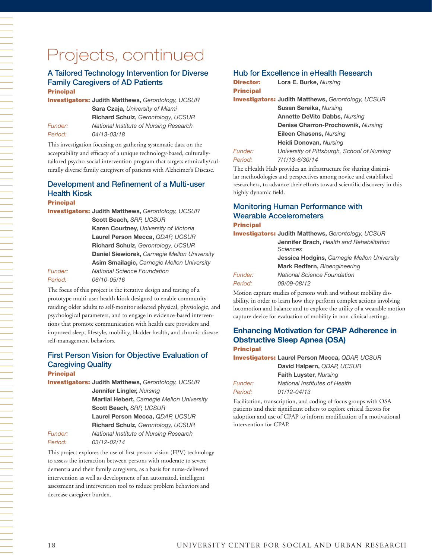#### A Tailored Technology Intervention for Diverse Family Caregivers of AD Patients **Principal**

Investigators: **Judith Matthews,** *Gerontology, UCSUR* **Sara Czaja,** *University of Miami* **Richard Schulz,** *Gerontology, UCSUR Funder: National Institute of Nursing Research Period: 04/13-03/18*

This investigation focusing on gathering systematic data on the acceptability and efficacy of a unique technology-based, culturallytailored psycho-social intervention program that targets ethnically/culturally diverse family caregivers of patients with Alzheimer's Disease.

#### Development and Refinement of a Multi-user Health Kiosk

#### Principal

Investigators: **Judith Matthews,** *Gerontology, UCSUR*

**Scott Beach,** *SRP, UCSUR* **Karen Courtney,** *University of Victoria* **Laurel Person Mecca,** *QDAP, UCSUR* **Richard Schulz,** *Gerontology, UCSUR* **Daniel Siewiorek,** *Carnegie Mellon University* **Asim Smailagic,** *Carnegie Mellon University*

*Funder: National Science Foundation Period: 06/10-05/16*

The focus of this project is the iterative design and testing of a prototype multi-user health kiosk designed to enable communityresiding older adults to self-monitor selected physical, physiologic, and psychological parameters, and to engage in evidence-based interventions that promote communication with health care providers and improved sleep, lifestyle, mobility, bladder health, and chronic disease self-management behaviors.

## First Person Vision for Objective Evaluation of Caregiving Quality

#### Principal

Investigators: **Judith Matthews,** *Gerontology, UCSUR* **Jennifer Lingler,** *Nursing* **Martial Hebert,** *Carnegie Mellon University* **Scott Beach,** *SRP, UCSUR* **Laurel Person Mecca,** *QDAP, UCSUR* **Richard Schulz,** *Gerontology, UCSUR Funder: National Institute of Nursing Research Period: 03/12-02/14* 

#### This project explores the use of first person vision (FPV) technology to assess the interaction between persons with moderate to severe dementia and their family caregivers, as a basis for nurse-delivered intervention as well as development of an automated, intelligent assessment and intervention tool to reduce problem behaviors and decrease caregiver burden.

#### Hub for Excellence in eHealth Research

| Director:        | Lora E. Burke, Nursing                                    |
|------------------|-----------------------------------------------------------|
| <b>Principal</b> |                                                           |
|                  | <b>Investigators: Judith Matthews, Gerontology, UCSUR</b> |
|                  | <b>Susan Sereika, Nursing</b>                             |
|                  | <b>Annette DeVito Dabbs, Nursing</b>                      |
|                  | Denise Charron-Prochownik, Nursing                        |
|                  | Eileen Chasens, Nursing                                   |
|                  | Heidi Donovan, Nursing                                    |
| Funder:          | University of Pittsburgh, School of Nursing               |
| Period:          | 7/1/13-6/30/14                                            |
|                  |                                                           |

The eHealth Hub provides an infrastructure for sharing dissimilar methodologies and perspectives among novice and established researchers, to advance their efforts toward scientific discovery in this highly dynamic field.

#### Monitoring Human Performance with Wearable Accelerometers **Principal**

Investigators: **Judith Matthews,** *Gerontology, UCSUR* **Jennifer Brach,** *Health and Rehabilitation Sciences*

|         | Jessica Hodgins, Carnegie Mellon University |
|---------|---------------------------------------------|
|         | Mark Redfern, Bioengineering                |
| Funder: | National Science Foundation                 |
| Period: | 09/09-08/12                                 |

Motion capture studies of persons with and without mobility disability, in order to learn how they perform complex actions involving locomotion and balance and to explore the utility of a wearable motion capture device for evaluation of mobility in non-clinical settings.

## **Enhancing Motivation for CPAP Adherence in Obstructive Sleep Apnea (OSA)**

#### **Principal**

Investigators: **Laurel Person Mecca,** *QDAP, UCSUR* **David Halpern,** *QDAP, UCSUR* **Faith Luyster,** *Nursing Funder: National Institutes of Health*

*Period: 01/12-04/13*

Facilitation, transcription, and coding of focus groups with OSA patients and their significant others to explore critical factors for adoption and use of CPAP to inform modification of a motivational intervention for CPAP.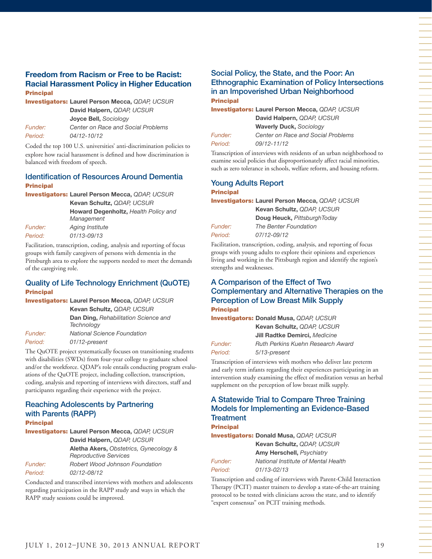#### **Freedom from Racism or Free to be Racist: Racial Harassment Policy in Higher Education** Principal

Investigators: **Laurel Person Mecca,** *QDAP, UCSUR* **David Halpern,** *QDAP, UCSUR* **Joyce Bell,** *Sociology Funder: Center on Race and Social Problems*

*Period: 04/12-10/12*

Coded the top 100 U.S. universities' anti-discrimination policies to explore how racial harassment is defined and how discrimination is balanced with freedom of speech.

#### Identification of Resources Around Dementia **Principal**

Investigators: **Laurel Person Mecca,** *QDAP, UCSUR*

**Kevan Schultz,** *QDAP, UCSUR* **Howard Degenholtz,** *Health Policy and Management Funder: Aging Institute Period: 01/13-09/13*

Facilitation, transcription, coding, analysis and reporting of focus groups with family caregivers of persons with dementia in the Pittsburgh area to explore the supports needed to meet the demands of the caregiving role.

#### Quality of Life Technology Enrichment (QuOTE) Principal

|         | <b>Investigators: Laurel Person Mecca, QDAP, UCSUR</b>    |
|---------|-----------------------------------------------------------|
|         | Kevan Schultz, QDAP, UCSUR                                |
|         | <b>Dan Ding, Rehabilitation Science and</b><br>Technology |
| Funder: | <b>National Science Foundation</b>                        |
| Period: | 01/12-present                                             |

The QuOTE project systematically focuses on transitioning students with disabilities (SWDs) from four-year college to graduate school and/or the workforce. QDAP's role entails conducting program evaluations of the QuOTE project, including collection, transcription, coding, analysis and reporting of interviews with directors, staff and participants regarding their experience with the project.

## Reaching Adolescents by Partnering with Parents (RAPP)

## **Principal**

Investigators: **Laurel Person Mecca,** *QDAP, UCSUR* **David Halpern,** *QDAP, UCSUR* **Aletha Akers,** *Obstetrics, Gynecology & Reproductive Services Funder: Robert Wood Johnson Foundation Period: 02/12-08/12*

Conducted and transcribed interviews with mothers and adolescents regarding participation in the RAPP study and ways in which the RAPP study sessions could be improved.

#### Social Policy, the State, and the Poor: An Ethnographic Examination of Policy Intersections in an Impoverished Urban Neighborhood Principal

Investigators: **Laurel Person Mecca,** *QDAP, UCSUR* **David Halpern,** *QDAP, UCSUR* **Waverly Duck,** *Sociology Funder: Center on Race and Social Problems Period: 09/12-11/12*

Transcription of interviews with residents of an urban neighborhood to examine social policies that disproportionately affect racial minorities, such as zero tolerance in schools, welfare reform, and housing reform.

#### Young Adults Report **Principal**

Investigators: **Laurel Person Mecca,** *QDAP, UCSUR*

**Kevan Schultz,** *QDAP, UCSUR* **Doug Heuck,** *PittsburghToday Funder: The Benter Foundation Period: 07/12-09/12*

Facilitation, transcription, coding, analysis, and reporting of focus groups with young adults to explore their opinions and experiences living and working in the Pittsburgh region and identify the region's strengths and weaknesses.

#### A Comparison of the Effect of Two Complementary and Alternative Therapies on the Perception of Low Breast Milk Supply **Principal**

|         | <b>Investigators: Donald Musa, QDAP, UCSUR</b> |
|---------|------------------------------------------------|
|         | Kevan Schultz, QDAP, UCSUR                     |
|         | Jill Radtke Demirci, Medicine                  |
| Funder: | Ruth Perkins Kuehn Research Award              |

*Period: 5/13-present*

Transcription of interviews with mothers who deliver late preterm and early term infants regarding their experiences participating in an intervention study examining the effect of meditation versus an herbal supplement on the perception of low breast milk supply.

#### A Statewide Trial to Compare Three Training Models for Implementing an Evidence-Based **Treatment**

**Principal** 

Investigators: **Donald Musa,** *QDAP, UCSUR* **Kevan Schultz,** *QDAP, UCSUR* **Amy Herschell,** *Psychiatry Funder: National Institute of Mental Health Period: 01/13-02/13*

Transcription and coding of interviews with Parent-Child Interaction Therapy (PCIT) master trainers to develop a state-of-the-art training protocol to be tested with clinicians across the state, and to identify "expert consensus" on PCIT training methods.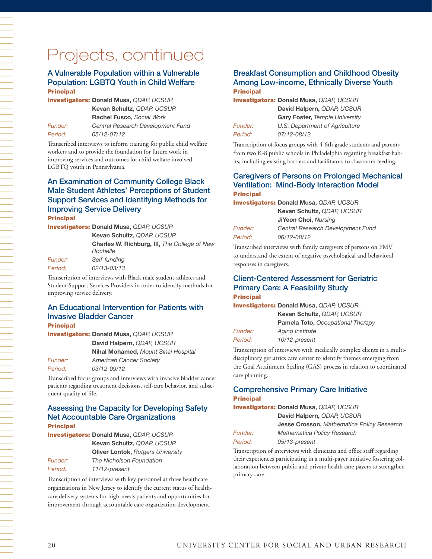#### A Vulnerable Population within a Vulnerable Population: LGBTQ Youth in Child Welfare **Principal**

Investigators: **Donald Musa,** *QDAP, UCSUR* **Kevan Schultz,** *QDAP, UCSUR* **Rachel Fusco,** *Social Work Funder: Central Research Development Fund Period: 05/12-07/12* 

Transcribed interviews to inform training for public child welfare workers and to provide the foundation for future work in improving services and outcomes for child welfare involved LGBTQ youth in Pennsylvania.

#### An Examination of Community College Black Male Student Athletes' Perceptions of Student Support Services and Identifying Methods for Improving Service Delivery Principal

Investigators: **Donald Musa,** *QDAP, UCSUR*

|                       | Kevan Schultz, QDAP, UCSUR                                      |
|-----------------------|-----------------------------------------------------------------|
|                       | <b>Charles W. Richburg, III, The College of New</b><br>Rochelle |
| <i><b>Funder:</b></i> | Self-funding                                                    |
| Period:               | 02/13-03/13                                                     |

Transcription of interviews with Black male student-athletes and Student Support Services Providers in order to identify methods for improving service delivery.

#### An Educational Intervention for Patients with Invasive Bladder Cancer **Principal**

Investigators: **Donald Musa,** *QDAP, UCSUR* **David Halpern,** *QDAP, UCSUR* **Nihal Mohamed,** *Mount Sinai Hospital Funder: American Cancer Society Period: 03/12-09/12* 

Transcribed focus groups and interviews with invasive bladder cancer patients regarding treatment decisions, self-care behavior, and subsequent quality of life.

#### Assessing the Capacity for Developing Safety Net Accountable Care Organizations Principal

Investigators: **Donald Musa,** *QDAP, UCSUR* **Kevan Schultz,** *QDAP, UCSUR* **Oliver Lontok,** *Rutgers University Funder: The Nicholson Foundation Period: 11/12-present*

Transcription of interviews with key personnel at three healthcare organizations in New Jersey to identify the current status of healthcare delivery systems for high-needs patients and opportunities for improvement through accountable care organization development.

#### Breakfast Consumption and Childhood Obesity Among Low-income, Ethnically Diverse Youth **Principal**

|         | <b>Investigators: Donald Musa, QDAP, UCSUR</b> |
|---------|------------------------------------------------|
|         | David Halpern, QDAP, UCSUR                     |
|         | <b>Gary Foster, Temple University</b>          |
| Funder: | U.S. Department of Agriculture                 |
| Period: | 07/12-08/12                                    |

Transcription of focus groups with 4-6th grade students and parents from two K-8 public schools in Philadelphia regarding breakfast habits, including existing barriers and facilitators to classroom feeding.

#### Caregivers of Persons on Prolonged Mechanical Ventilation: Mind-Body Interaction Model **Principal**

|                | <b>Investigators: Donald Musa, QDAP, UCSUR</b> |
|----------------|------------------------------------------------|
|                | Kevan Schultz, QDAP, UCSUR                     |
|                | <b>JiYeon Choi, Nursing</b>                    |
| <i>Funder:</i> | Central Research Development Fund              |
| Period:        | 06/12-08/12                                    |
|                |                                                |

Transcribed interviews with family caregivers of persons on PMV to understand the extent of negative psychological and behavioral responses in caregivers.

#### Client-Centered Assessment for Geriatric Primary Care: A Feasibility Study **Principal**

Investigators: **Donald Musa,** *QDAP, UCSUR* **Kevan Schultz,** *QDAP, UCSUR* **Pamela Toto,** *Occupational Therapy Funder: Aging Institute Period: 10/12-present*

Transcription of interviews with medically complex clients in a multidisciplinary geriatrics care center to identify themes emerging from the Goal Attainment Scaling (GAS) process in relation to coordinated care planning.

#### Comprehensive Primary Care Initiative **Principal**

#### Investigators: **Donald Musa,** *QDAP, UCSUR*

**David Halpern,** *QDAP, UCSUR* **Jesse Crosson,** *Mathematica Policy Research* **Mathematica Policy Research** 

| <i><b>Funder:</b></i> |  |
|-----------------------|--|
| Period:               |  |

primary care.

*Period: 05/13-present* Transcription of interviews with clinicians and office staff regarding their experiences participating in a multi-payer initiative fostering collaboration between public and private health care payers to strengthen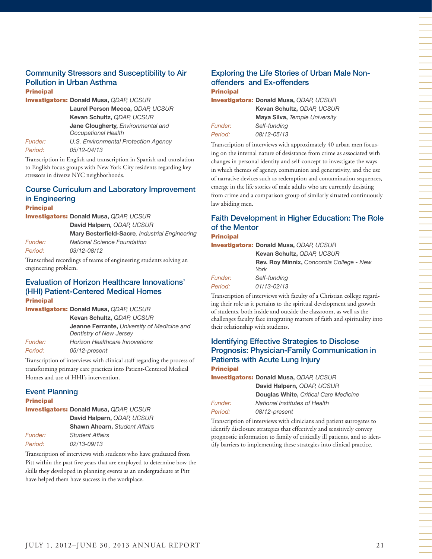#### Community Stressors and Susceptibility to Air Pollution in Urban Asthma **Principal**

|                | <b>Investigators: Donald Musa, QDAP, UCSUR</b>                          |
|----------------|-------------------------------------------------------------------------|
|                | Laurel Person Mecca, QDAP, UCSUR                                        |
|                | Kevan Schultz, QDAP, UCSUR                                              |
|                | Jane Clougherty, Environmental and<br><b>Occupational Health</b>        |
| <b>Funder:</b> | U.S. Environmental Protection Agency                                    |
| Period:        | 05/12-04/13                                                             |
|                | The contrast of the Director and according to the Character and accordi |

Transcription in English and transcription in Spanish and translation to English focus groups with New York City residents regarding key stressors in diverse NYC neighborhoods.

#### Course Curriculum and Laboratory Improvement in Engineering **Principal**

Investigators: **Donald Musa,** *QDAP, UCSUR* **David Halpern***, QDAP, UCSUR* **Mary Besterfield-Sacre***, Industrial Engineering Funder: National Science Foundation Period: 03/12-08/12* 

Transcribed recordings of teams of engineering students solving an engineering problem.

#### Evaluation of Horizon Healthcare Innovations' (HHI) Patient-Centered Medical Homes Principal

|                       | <b>Investigators: Donald Musa, QDAP, UCSUR</b>                                |
|-----------------------|-------------------------------------------------------------------------------|
|                       | Kevan Schultz, QDAP, UCSUR                                                    |
|                       | <b>Jeanne Ferrante, University of Medicine and</b><br>Dentistry of New Jersey |
| <i><b>Funder:</b></i> | Horizon Healthcare Innovations                                                |
| Period:               | 05/12-present                                                                 |
|                       |                                                                               |

Transcription of interviews with clinical staff regarding the process of transforming primary care practices into Patient-Centered Medical Homes and use of HHI's intervention.

#### Event Planning

#### Principal

#### Investigators: **Donald Musa,** *QDAP, UCSUR* **David Halpern,** *QDAP, UCSUR*

|         | <b>David Halpelli, QDAF, UCSUN</b>   |
|---------|--------------------------------------|
|         | <b>Shawn Ahearn, Student Affairs</b> |
| Funder: | <b>Student Affairs</b>               |
| Period: | 02/13-09/13                          |
|         |                                      |

Transcription of interviews with students who have graduated from Pitt within the past five years that are employed to determine how the skills they developed in planning events as an undergraduate at Pitt have helped them have success in the workplace.

#### Exploring the Life Stories of Urban Male Nonoffenders and Ex-offenders **Principal**

Investigators: **Donald Musa,** *QDAP, UCSUR* **Kevan Schultz,** *QDAP, UCSUR* **Maya Silva,** *Temple University*

*Period: 08/12-05/13* 

*Funder: Self-funding*

Transcription of interviews with approximately 40 urban men focusing on the internal nature of desistance from crime as associated with changes in personal identity and self-concept to investigate the ways in which themes of agency, communion and generativity, and the use of narrative devices such as redemption and contamination sequences, emerge in the life stories of male adults who are currently desisting from crime and a comparison group of similarly situated continuously law abiding men.

#### Faith Development in Higher Education: The Role of the Mentor **Principal**

Investigators: **Donald Musa,** *QDAP, UCSUR*

**Kevan Schultz,** *QDAP, UCSUR* **Rev. Roy Minnix,** *Concordia College - New York Funder: Self-funding Period: 01/13-02/13*

Transcription of interviews with faculty of a Christian college regarding their role as it pertains to the spiritual development and growth of students, both inside and outside the classroom, as well as the challenges faculty face integrating matters of faith and spirituality into their relationship with students.

#### Identifying Effective Strategies to Disclose Prognosis: Physician-Family Communication in Patients with Acute Lung Injury Principal

Investigators: **Donald Musa,** *QDAP, UCSUR* **David Halpern,** *QDAP, UCSUR*

**Douglas White,** *Critical Care Medicine Funder: National Institutes of Health Period: 08/12-present*

Transcription of interviews with clinicians and patient surrogates to identify disclosure strategies that effectively and sensitively convey prognostic information to family of critically ill patients, and to identify barriers to implementing these strategies into clinical practice.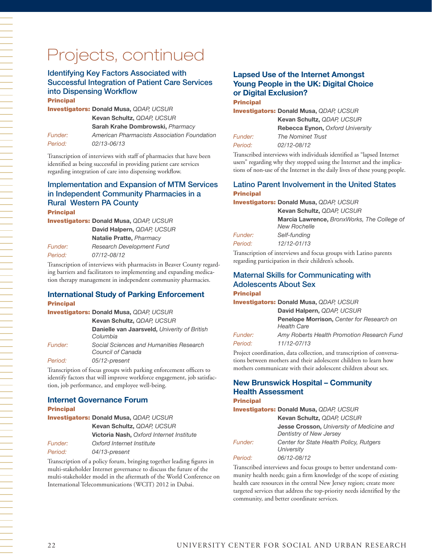#### Identifying Key Factors Associated with Successful Integration of Patient Care Services into Dispensing Workflow Principal

Investigators: **Donald Musa,** *QDAP, UCSUR* **Kevan Schultz,** *QDAP, UCSUR* **Sarah Krahe Dombrowski,** *Pharmacy Funder: American Pharmacists Association Foundation Period: 02/13-06/13*

Transcription of interviews with staff of pharmacies that have been identified as being successful in providing patient care services regarding integration of care into dispensing workflow.

## Implementation and Expansion of MTM Services in Independent Community Pharmacies in a Rural Western PA County

**Principal** Investigators: **Donald Musa,** *QDAP, UCSUR*

**David Halpern,** *QDAP, UCSUR* **Natalie Pratte,** *Pharmacy Funder: Research Development Fund*

*Period: 07/12-08/12* Transcription of interviews with pharmacists in Beaver County regard-

ing barriers and facilitators to implementing and expanding medication therapy management in independent community pharmacies.

#### **International Study of Parking Enforcement Principal**

|                       | <b>Investigators: Donald Musa, QDAP, UCSUR</b>               |
|-----------------------|--------------------------------------------------------------|
|                       | Kevan Schultz, QDAP, UCSUR                                   |
|                       | Danielle van Jaarsveld, Univerity of British<br>Columbia     |
| <i><b>Funder:</b></i> | Social Sciences and Humanities Research<br>Council of Canada |
| Period:               | 05/12-present                                                |

Transcription of focus groups with parking enforcement officers to identify factors that will improve workforce engagement, job satisfaction, job performance, and employee well-being.

#### **Internet Governance Forum**

#### **Principal**

|         | <b>Investigators: Donald Musa, QDAP, UCSUR</b>  |
|---------|-------------------------------------------------|
|         | Kevan Schultz, QDAP, UCSUR                      |
|         | <b>Victoria Nash, Oxford Internet Institute</b> |
| Funder: | Oxford Internet Institute                       |
| Period: | 04/13-present                                   |

Transcription of a policy forum, bringing together leading figures in multi-stakeholder Internet governance to discuss the future of the multi-stakeholder model in the aftermath of the World Conference on International Telecommunications (WCIT) 2012 in Dubai.

#### **Lapsed Use of the Internet Amongst Young People in the UK: Digital Choice or Digital Exclusion? Principal**

Investigators: **Donald Musa,** *QDAP, UCSUR*

| Kevan Schultz, QDAP, UCSUR              |
|-----------------------------------------|
| <b>Rebecca Eynon, Oxford University</b> |
| <b>The Nominet Trust</b>                |
| 02/12-08/12                             |
|                                         |

Transcribed interviews with individuals identified as "lapsed Internet users" regarding why they stopped using the Internet and the implications of non-use of the Internet in the daily lives of these young people.

#### Latino Parent Involvement in the United States **Principal**

Investigators: **Donald Musa,** *QDAP, UCSUR*

| Kevan Schultz, QDAP, UCSUR                  |
|---------------------------------------------|
| Marcia Lawrence, BronxWorks, The College of |
| <b>New Rochelle</b>                         |
| Self-funding                                |
| 12/12-01/13                                 |
|                                             |

Transcription of interviews and focus groups with Latino parents regarding participation in their children's schools.

## Maternal Skills for Communicating with Adolescents About Sex

#### **Principal**

*Funder:* Period:

Investigators: **Donald Musa,** *QDAP, UCSUR* **David Halpern,** *QDAP, UCSUR*

|                | Penelope Morrison, Center for Research on  |
|----------------|--------------------------------------------|
|                | <b>Health Care</b>                         |
| <i>Funder:</i> | Amy Roberts Health Promotion Research Fund |
| Period: I      | 11/12-07/13                                |

Project coordination, data collection, and transcription of conversations between mothers and their adolescent children to learn how mothers communicate with their adolescent children about sex.

#### **New Brunswick Hospital – Community Health Assessment**

#### Principal

|                       | <b>Investigators: Donald Musa, QDAP, UCSUR</b>                              |
|-----------------------|-----------------------------------------------------------------------------|
|                       | Kevan Schultz, QDAP, UCSUR                                                  |
|                       | <b>Jesse Crosson, University of Medicine and</b><br>Dentistry of New Jersey |
| <i><b>Funder:</b></i> | Center for State Health Policy, Rutgers<br>University                       |
| Period:               | 06/12-08/12                                                                 |

Transcribed interviews and focus groups to better understand community health needs; gain a firm knowledge of the scope of existing health care resources in the central New Jersey region; create more targeted services that address the top-priority needs identified by the community, and better coordinate services.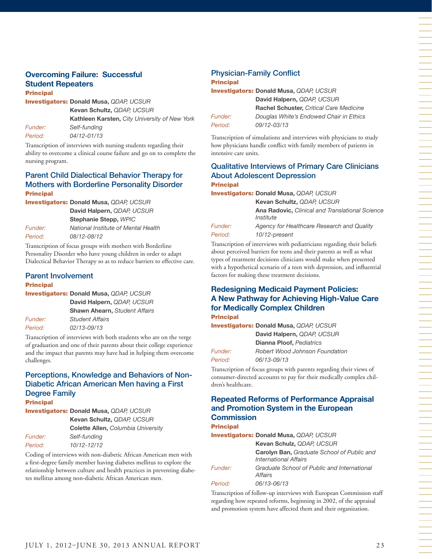## **Overcoming Failure: Successful Student Repeaters**

Principal

Investigators: **Donald Musa,** *QDAP, UCSUR*

**Kevan Schultz,** *QDAP, UCSUR* **Kathleen Karsten,** *City University of New York Funder: Self-funding Period: 04/12-01/13*

Transcription of interviews with nursing students regarding their ability to overcome a clinical course failure and go on to complete the nursing program.

#### Parent Child Dialectical Behavior Therapy for Mothers with Borderline Personality Disorder **Principal**

Investigators: **Donald Musa,** *QDAP, UCSUR* **David Halpern,** *QDAP, UCSUR*

*Period: 08/12-08/12*

**Stephanie Stepp,** *WPIC Funder: National Institute of Mental Health*

Transcription of focus groups with mothers with Borderline Personality Disorder who have young children in order to adapt Dialectical Behavior Therapy so as to reduce barriers to effective care.

# Parent Involvement

#### **Principal**

Investigators: **Donald Musa,** *QDAP, UCSUR*

**David Halpern,** *QDAP, UCSUR* **Shawn Ahearn,** *Student Affairs Funder: Student Affairs Period: 02/13-09/13*

Transcription of interviews with both students who are on the verge of graduation and one of their parents about their college experience and the impact that parents may have had in helping them overcome challenges.

#### Perceptions, Knowledge and Behaviors of Non-Diabetic African American Men having a First Degree Family **Principal**

Investigators: **Donald Musa,** *QDAP, UCSUR* 

|                | Kevan Schultz, QDAP, UCSUR                |
|----------------|-------------------------------------------|
|                | <b>Colette Allen, Columbia University</b> |
| <i>Funder:</i> | Self-fundina                              |
| Period:        | 10/12-12/12                               |

Coding of interviews with non-diabetic African American men with a first-degree family member having diabetes mellitus to explore the relationship between culture and health practices in preventing diabetes mellitus among non-diabetic African American men.

# Physician-Family Conflict

#### Principal

Investigators: **Donald Musa,** *QDAP, UCSUR* **David Halpern,** *QDAP, UCSUR* **Rachel Schuster,** *Critical Care Medicine Funder: Douglas White's Endowed Chair in Ethics Period: 09/12-03/13*

Transcription of simulations and interviews with physicians to study how physicians handle conflict with family members of patients in intensive care units.

#### Qualitative Interviews of Primary Care Clinicians About Adolescent Depression **Principal**

Investigators: **Donald Musa,** *QDAP, UCSUR*

**Kevan Schultz,** *QDAP, UCSUR* **Ana Radovic,** *Clinical and Translational Science Institute Funder: Agency for Healthcare Research and Quality Period: 10/12-present*

Transcription of interviews with pediatricians regarding their beliefs about perceived barriers for teens and their parents as well as what types of treatment decisions clinicians would make when presented with a hypothetical scenario of a teen with depression, and influential factors for making these treatment decisions.

#### **Redesigning Medicaid Payment Policies: A New Pathway for Achieving High-Value Care for Medically Complex Children Principal**

Investigators: **Donald Musa,** *QDAP, UCSUR*

**David Halpern,** *QDAP, UCSUR* **Dianna Ploof,** *Pediatrics Funder: Robert Wood Johnson Foundation Period: 06/13-09/13*

Transcription of focus groups with parents regarding their views of consumer-directed accounts to pay for their medically complex children's healthcare.

#### **Repeated Reforms of Performance Appraisal and Promotion System in the European Commission**

Principal

|                | <b>Investigators: Donald Musa, QDAP, UCSUR</b>                      |
|----------------|---------------------------------------------------------------------|
|                | Kevan Schulz, QDAP, UCSUR                                           |
|                | Carolyn Ban, Graduate School of Public and<br>International Affairs |
| <i>Funder:</i> | Graduate School of Public and International<br>Affairs              |
| Period:        | 06/13-06/13                                                         |
|                |                                                                     |

Transcription of follow-up interviews with European Commission staff regarding how repeated reforms, beginning in 2002, of the appraisal and promotion system have affected them and their organization.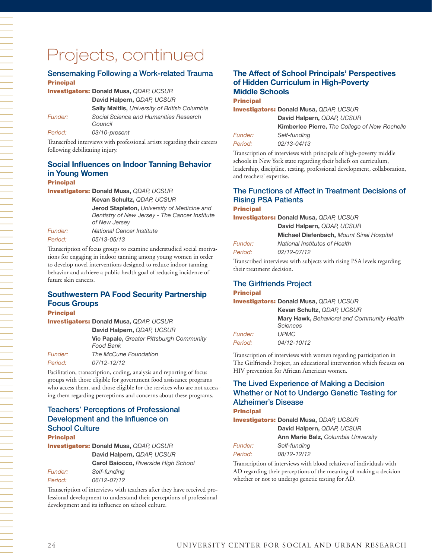#### Sensemaking Following a Work-related Trauma **Principal**

|         | <b>Investigators: Donald Musa, QDAP, UCSUR</b>       |
|---------|------------------------------------------------------|
|         | David Halpern, QDAP, UCSUR                           |
|         | <b>Sally Maitlis, University of British Columbia</b> |
| Funder: | Social Science and Humanities Research<br>Council    |
| Period: | 03/10-present                                        |
|         |                                                      |

Transcribed interviews with professional artists regarding their careers following debilitating injury.

## **Social Influences on Indoor Tanning Behavior in Young Women**

#### Principal

Investigators: **Donald Musa,** *QDAP, UCSUR*

**Kevan Schultz,** *QDAP, UCSUR*

**Jerod Stapleton,** *University of Medicine and Dentistry of New Jersey - The Cancer Institute of New Jersey*

*Funder: National Cancer Institute Period: 05/13-05/13*

Transcription of focus groups to examine understudied social motivations for engaging in indoor tanning among young women in order to develop novel interventions designed to reduce indoor tanning behavior and achieve a public health goal of reducing incidence of future skin cancers.

#### **Southwestern PA Food Security Partnership Focus Groups**

#### **Principal**

Investigators: **Donald Musa,** *QDAP, UCSUR*

**David Halpern,** *QDAP, UCSUR* **Vic Papale,** *Greater Pittsburgh Community* 

|                       | Food Bank             |
|-----------------------|-----------------------|
| <i><b>Funder:</b></i> | The McCune Foundation |
| Period:               | 07/12-12/12           |

Facilitation, transcription, coding, analysis and reporting of focus groups with those eligible for government food assistance programs who access them, and those eligible for the services who are not accessing them regarding perceptions and concerns about these programs.

#### Teachers' Perceptions of Professional Development and the Influence on School Culture **Principal**

Investigators: **Donald Musa,** *QDAP, UCSUR*

**David Halpern,** *QDAP, UCSUR* **Carol Baiocco,** *Riverside High School*

*Funder: Self-funding Period: 06/12-07/12*

Transcription of interviews with teachers after they have received professional development to understand their perceptions of professional development and its influence on school culture.

#### T**he Affect of School Principals' Perspectives of Hidden Curriculum in High-Poverty Middle Schools**

#### Principal

|                | <b>Investigators: Donald Musa, QDAP, UCSUR</b>       |
|----------------|------------------------------------------------------|
|                | David Halpern, QDAP, UCSUR                           |
|                | <b>Kimberlee Pierre, The College of New Rochelle</b> |
| <i>Funder:</i> | Self-funding                                         |
| Period:        | 02/13-04/13                                          |
|                |                                                      |

Transcription of interviews with principals of high-poverty middle schools in New York state regarding their beliefs on curriculum, leadership, discipline, testing, professional development, collaboration, and teachers' expertise.

#### The Functions of Affect in Treatment Decisions of Rising PSA Patients

#### **Principal**

|                | <b>Investigators: Donald Musa, QDAP, UCSUR</b> |
|----------------|------------------------------------------------|
|                | David Halpern, QDAP, UCSUR                     |
|                | Michael Diefenbach, Mount Sinai Hospital       |
| <i>Funder:</i> | National Institutes of Health                  |
| Period:        | 02/12-07/12                                    |

Transcribed interviews with subjects with rising PSA levels regarding their treatment decision.

# The Girlfriends Project

#### **Principal**

Investigators: **Donald Musa,** *QDAP, UCSUR*

**Kevan Schultz,** *QDAP, UCSUR* **Mary Hawk,** *Behavioral and Community Health Sciences Funder: UPMC Period: 04/12-10/12*

Transcription of interviews with women regarding participation in The Girlfriends Project, an educational intervention which focuses on HIV prevention for African American women.

#### The Lived Experience of Making a Decision Whether or Not to Undergo Genetic Testing for Alzheimer's Disease

#### **Principal**

Investigators: **Donald Musa,** *QDAP, UCSUR* **David Halpern,** *QDAP, UCSUR*

|                | <b>Ann Marie Balz, Columbia University</b> |
|----------------|--------------------------------------------|
| <i>Funder:</i> | Self-fundina                               |
| Period:        | 08/12-12/12                                |

Transcription of interviews with blood relatives of individuals with AD regarding their perceptions of the meaning of making a decision whether or not to undergo genetic testing for AD.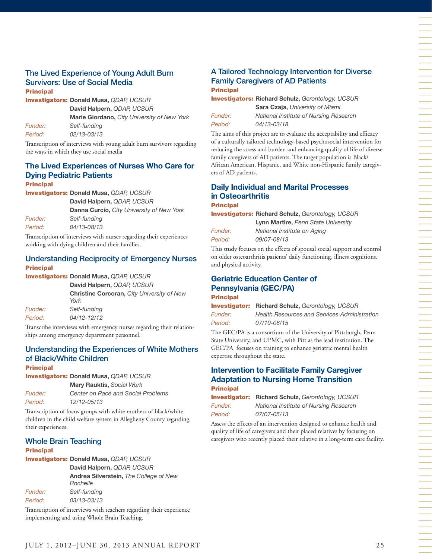#### The Lived Experience of Young Adult Burn Survivors: Use of Social Media **Principal**

Investigators: **Donald Musa,** *QDAP, UCSUR*

**David Halpern,** *QDAP, UCSUR*

**Marie Giordano,** *City University of New York Funder: Self-funding Period: 02/13-03/13*

Transcription of interviews with young adult burn survivors regarding the ways in which they use social media

#### **The Lived Experiences of Nurses Who Care for Dying Pediatric Patients Principal**

Investigators: **Donald Musa,** *QDAP, UCSUR*

**David Halpern,** *QDAP, UCSUR*

**Danna Curcio,** *City University of New York*

*Funder: Self-funding Period: 04/13-08/13*

Transcription of interviews with nurses regarding their experiences working with dying children and their families.

#### Understanding Reciprocity of Emergency Nurses Principal

Investigators: **Donald Musa,** *QDAP, UCSUR*

**David Halpern,** *QDAP, UCSUR* **Christine Corcoran,** *City University of New York Funder: Self-funding Period: 04/12-12/12*

Transcribe interviews with emergency nurses regarding their relationships among emergency department personnel.

#### Understanding the Experiences of White Mothers of Black/White Children Principal

Investigators: **Donald Musa,** *QDAP, UCSUR*

**Mary Rauktis,** *Social Work*

*Funder: Center on Race and Social Problems Period: 12/12-05/13*

Transcription of focus groups with white mothers of black/white children in the child welfare system in Allegheny County regarding their experiences.

#### Whole Brain Teaching

#### Principal

Investigators: **Donald Musa,** *QDAP, UCSUR*

**David Halpern,** *QDAP, UCSUR* **Andrea Silverstein,** *The College of New Rochelle Funder: Self-funding Period: 03/13-03/13*

Transcription of interviews with teachers regarding their experience implementing and using Whole Brain Teaching.

#### A Tailored Technology Intervention for Diverse Family Caregivers of AD Patients **Principal**

Investigators: **Richard Schulz,** *Gerontology, UCSUR* **Sara Czaja,** *University of Miami*

*Period: 04/13-03/18*

*Funder: National Institute of Nursing Research*

The aims of this project are to evaluate the acceptability and efficacy of a culturally tailored technology-based psychosocial intervention for reducing the stress and burden and enhancing quality of life of diverse family caregivers of AD patients. The target population is Black/ African American, Hispanic, and White non-Hispanic family caregivers of AD patients.

## **Daily Individual and Marital Processes in Osteoarthritis**

**Principal** 

Investigators: **Richard Schulz,** *Gerontology, UCSUR* **Lynn Martire,** *Penn State University*

*Funder: National Institute on Aging Period: 09/07-08/13*

This study focuses on the effects of spousal social support and control on older osteoarthritis patients' daily functioning, illness cognitions, and physical activity.

#### **Geriatric Education Center of Pennsylvania (GEC/PA)**

#### Principal

Investigator: **Richard Schulz,** *Gerontology, UCSUR Funder: Health Resources and Services Administration Period: 07/10-06/15*

The GEC/PA is a consortium of the University of Pittsburgh, Penn State University, and UPMC, with Pitt as the lead institution. The GEC/PA focuses on training to enhance geriatric mental health expertise throughout the state.

#### **Intervention to Facilitate Family Caregiver Adaptation to Nursing Home Transition** Principal

Investigator: **Richard Schulz,** *Gerontology, UCSUR Funder: National Institute of Nursing Research Period: 07/07-05/13*

Assess the effects of an intervention designed to enhance health and quality of life of caregivers and their placed relatives by focusing on caregivers who recently placed their relative in a long-term care facility. 一个人,我们就是一个人的事情,我们就是一个人的事情。""我们,我们就是一个人的事情,我们就是一个人的事情。""我们,我们就是一个人的事情。""我们,我们就是一个人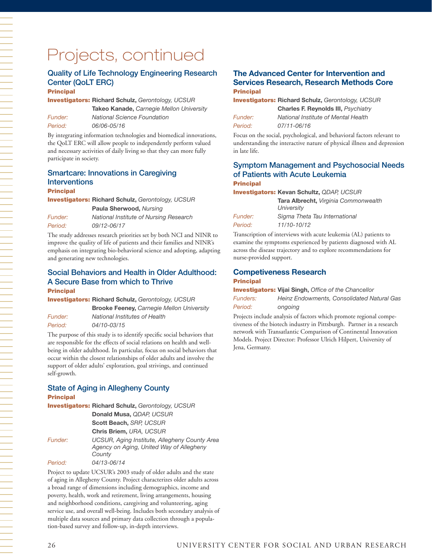### Quality of Life Technology Engineering Research Center (QoLT ERC)

#### **Principal**

Investigators: **Richard Schulz,** *Gerontology, UCSUR*

**Takeo Kanade,** *Carnegie Mellon University Period: 06/06-05/16* 

*Funder: National Science Foundation*

By integrating information technologies and biomedical innovations, the QoLT ERC will allow people to independently perform valued and necessary activities of daily living so that they can more fully participate in society.

## Smartcare: Innovations in Caregiving Interventions

#### Principal

一个人,我们就是一个人,我们就是一个人,我们就是一个人,我们就是一个人,我们就是一个人,我们就是一个人,我们就是一个人,我们就是一个人,我们就是一个人,我们就是一

Investigators: **Richard Schulz,** *Gerontology, UCSUR* **Paula Sherwood,** *Nursing Funder: National Institute of Nursing Research*

*Period: 09/12-06/17* The study addresses research priorities set by both NCI and NINR to

improve the quality of life of patients and their families and NINR's emphasis on integrating bio-behavioral science and adopting, adapting and generating new technologies.

#### Social Behaviors and Health in Older Adulthood: A Secure Base from which to Thrive **Principal**

Investigators: **Richard Schulz,** *Gerontology, UCSUR*

**Brooke Feeney,** *Carnegie Mellon University Funder: National Institutes of Health Period: 04/10-03/15*

The purpose of this study is to identify specific social behaviors that are responsible for the effects of social relations on health and wellbeing in older adulthood. In particular, focus on social behaviors that occur within the closest relationships of older adults and involve the support of older adults' exploration, goal strivings, and continued self-growth.

#### State of Aging in Allegheny County Principal

Investigators: **Richard Schulz,** *Gerontology, UCSUR* **Donald Musa,** *QDAP, UCSUR* **Scott Beach,** *SRP, UCSUR* **Chris Briem,** *URA, UCSUR Funder: UCSUR, Aging Institute, Allegheny County Area Agency on Aging, United Way of Allegheny County Period: 04/13-06/14*

Project to update UCSUR's 2003 study of older adults and the state of aging in Allegheny County. Project characterizes older adults across a broad range of dimensions including demographics, income and poverty, health, work and retirement, living arrangements, housing and neighborhood conditions, caregiving and volunteering, aging service use, and overall well-being. Includes both secondary analysis of multiple data sources and primary data collection through a population-based survey and follow-up, in-depth interviews.

#### **The Advanced Center for Intervention and Services Research, Research Methods Core Principal**

Investigators: **Richard Schulz,** *Gerontology, UCSUR*

|                | <b>Charles F. Reynolds III, Psychiatry</b> |
|----------------|--------------------------------------------|
| <i>Funder:</i> | National Institute of Mental Health        |
| Period:        | 07/11-06/16                                |

Focus on the social, psychological, and behavioral factors relevant to understanding the interactive nature of physical illness and depression in late life.

#### Symptom Management and Psychosocial Needs of Patients with Acute Leukemia **Principal**

Investigators: **Kevan Schultz,** *QDAP, UCSUR*

|                | Tara Albrecht, Virginia Commonwealth<br>University |
|----------------|----------------------------------------------------|
| <i>Funder:</i> | Sigma Theta Tau International                      |
| Period:        | 11/10-10/12                                        |

Transcription of interviews with acute leukemia (AL) patients to examine the symptoms experienced by patients diagnosed with AL across the disease trajectory and to explore recommendations for nurse-provided support.

#### **Competiveness Research Principal**

Investigators: **Vijai Singh,** *Office of the Chancellor*

*Funders: Heinz Endowments, Consolidated Natural Gas Period: ongoing*

Projects include analysis of factors which promote regional competiveness of the biotech industry in Pittsburgh. Partner in a research network with Transatlantic Comparison of Continental Innovation Models. Project Director: Professor Ulrich Hilpert, University of Jena, Germany.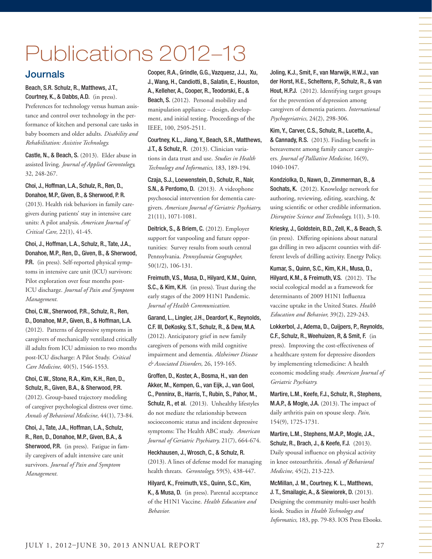# Publications 2012–13

# **Journals**

Beach, S.R. Schulz, R., Matthews, J.T., Courtney, K., & Dabbs, A.D. (in press).

Preferences for technology versus human assistance and control over technology in the performance of kitchen and personal care tasks in baby boomers and older adults. *Disability and Rehabilitation: Assistive Technology.*

Castle, N., & Beach, S. (2013). Elder abuse in assisted living. *Journal of Applied Gerontology,* 32, 248-267.

Choi, J., Hoffman, L.A., Schulz, R., Ren, D., Donahoe, M.P., Given, B., & Sherwood, P. R.

(2013). Health risk behaviors in family caregivers during patients' stay in intensive care units: A pilot analysis. *American Journal of Critical Care,* 22(1), 41-45.

Choi, J., Hoffman, L.A., Schulz, R., Tate, J.A., Donahoe, M.P., Ren, D., Given, B., & Sherwood, P.R. (in press). Self-reported physical symptoms in intensive care unit (ICU) survivors: Pilot exploration over four months post-ICU discharge. *Journal of Pain and Symptom Management.*

Choi, C.W., Sherwood, P.R., Schulz, R., Ren, D., Donahoe, M.P., Given, B., & Hoffman, L.A. (2012). Patterns of depressive symptoms in caregivers of mechanically ventilated critically ill adults from ICU admission to two months post-ICU discharge: A Pilot Study. *Critical Care Medicine,* 40(5), 1546-1553.

Choi, C.W., Stone, R.A., Kim, K.H., Ren, D., Schulz, R., Given, B.A., & Sherwood, P.R. (2012). Group-based trajectory modeling of caregiver psychological distress over time. *Annals of Behavioral Medicine,* 44(1), 73-84.

Choi, J., Tate, J.A., Hoffman, L.A., Schulz, R., Ren, D., Donahoe, M.P., Given, B.A., & Sherwood, P.R. (in press). Fatigue in family caregivers of adult intensive care unit survivors. *Journal of Pain and Symptom Management.* 

Cooper, R.A., Grindle, G.G., Vazquesz, J.J., Xu, J., Wang, H., Candiotti, B., Salatin, E., Houston, A., Kelleher, A., Cooper, R., Teodorski, E., & Beach, S. (2012). Personal mobility and manipulation appliance – design, development, and initial testing. Proceedings of the IEEE, 100, 2505-2511.

Courtney, K.L., Jiang, Y., Beach, S.R., Matthews, J.T., & Schulz, R. (2013). Clinician variations in data trust and use. *Studies in Health Technology and Informatics,* 183, 189-194.

Czaja, S.J., Loewenstein, D., Schulz, R., Nair, S.N., & Perdomo, D. (2013). A videophone psychosocial intervention for dementia caregivers. *American Journal of Geriatric Psychiatry,* 21(11), 1071-1081.

Deitrick, S., & Briem, C. (2012). Employer support for vanpooling and future opportunities: Survey results from south central Pennsylvania. *Pennsylvania Geographer,*  50(1/2), 106-131.

Freimuth, V.S., Musa, D., Hilyard, K.M., Quinn, S.C., & Kim, K.H. (in press). Trust during the early stages of the 2009 H1N1 Pandemic. *Journal of Health Communication.* 

Garand, L., Lingler, J.H., Deardorf, K., Reynolds, C.F. III, DeKosky, S.T., Schulz, R., & Dew, M.A. (2012). Anticipatory grief in new family caregivers of persons with mild cognitive impairment and dementia. *Alzheimer Disease & Associated Disorders,* 26, 159-165.

Groffen, D., Koster, A., Bosma, H., van den Akker, M., Kempen, G., van Eijk, J., van Gool, C., Penninx, B., Harris, T., Rubin, S., Pahor, M., Schulz, R., et al. (2013). Unhealthy lifestyles do not mediate the relationship between socioeconomic status and incident depressive symptoms: The Health ABC study. *American Journal of Geriatric Psychiatry,* 21(7), 664-674.

Heckhausen, J., Wrosch, C., & Schulz, R. (2013). A lines of defense model for managing health threats. *Gerontology,* 59(5), 438-447.

Hilyard, K., Freimuth, V.S., Quinn, S.C., Kim, K., & Musa, D. (in press). Parental acceptance of the H1N1 Vaccine. *Health Education and Behavior.*

Joling, K.J., Smit, F., van Marwijk, H.W.J., van der Horst, H.E., Scheltens, P., Schulz, R., & van Hout, H.P.J. (2012). Identifying target groups for the prevention of depression among caregivers of dementia patients. *International Psychogeriatrics,* 24(2), 298-306.

Kim, Y., Carver, C.S., Schulz, R., Lucette, A., & Cannady, R.S. (2013). Finding benefit in bereavement among family cancer caregivers. *Journal of Palliative Medicine,* 16(9), 1040-1047.

Kondziolka, D., Nawn, D., Zimmerman, B., & Sochats, K. (2012). Knowledge network for authoring, reviewing, editing, searching, & using scientific or other credible information. *Disruptive Science and Technology,* 1(1), 3-10.

Kriesky, J., Goldstein, B.D., Zell, K., & Beach, S. (in press). Differing opinions about natural gas drilling in two adjacent counties with different levels of drilling activity. Energy Policy.

Kumar, S., Quinn, S.C., Kim, K.H., Musa, D., Hilyard, K.M., & Freimuth, V.S. (2012). The social ecological model as a framework for determinants of 2009 H1N1 Influenza vaccine uptake in the United States. *Health Education and Behavior,* 39(2), 229-243.

Lokkerbol, J., Adema, D., Cuijpers, P., Reynolds, C.F., Schulz, R., Weehuizen, R, & Smit, F. (in press). Improving the cost-effectiveness of a healthcare system for depressive disorders by implementing telemedicine: A health economic modeling study. *American Journal of Geriatric Psychiatry.* 

Martire, L.M., Keefe, F.J., Schulz, R., Stephens, M.A.P., & Mogle, J.A. (2013). The impact of daily arthritis pain on spouse sleep. *Pain,* 154(9), 1725-1731.

Martire, L.M., Stephens, M.A.P., Mogle, J.A., Schulz, R., Brach, J., & Keefe, F.J. (2013). Daily spousal influence on physical activity in knee osteoarthritis. *Annals of Behavioral Medicine,* 45(2), 213-223.

McMillan, J. M., Courtney, K. L., Matthews, J. T., Smailagic, A., & Siewiorek, D. (2013). Designing the community multi-user health kiosk. Studies in *Health Technology and Informatics,* 183, pp. 79-83. IOS Press Ebooks.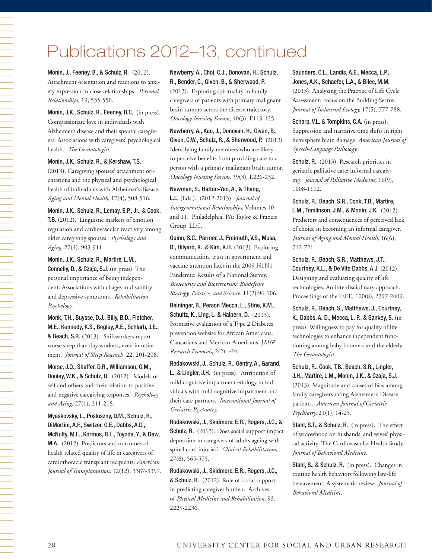# Publications 2012–13, continued

Monin, J., Feeney, B., & Schulz, R. (2012). Attachment orientation and reactions to anxiety expression in close relationships. *Personal Relationships,* 19, 535-550.

Monin, J.K., Schulz, R., Feeney, B.C. (in press). Compassionate love in individuals with Alzheimer's disease and their spousal caregivers: Associations with caregivers' psychological health. *The Gerontologist.* 

Monin, J.K., Schulz, R., & Kershaw, T.S. (2013). Caregiving spouses' attachment orientations and the physical and psychological health of individuals with Alzheimer's disease. *Aging and Mental Health,* 17(4), 508-516.

Monin, J.K., Schulz, R., Lemay, E.P., Jr., & Cook, T.B. (2012). Linguistic markers of emotion regulation and cardiovascular reactivity among older caregiving spouses. *Psychology and Aging,* 27(4), 903-911.

Monin, J.K., Schulz, R., Martire, L.M., Connelly, D., & Czaja, S.J. (in press). The personal importance of being independent: Associations with chages in disability and depressive symptoms. *Rehabilitation Psychology.* 

Monk, T.H., Buysse, D.J., Billy, B.D., Fletcher, M.E., Kennedy, K.S., Begley, A.E., Schlarb, J.E., & Beach, S.R. (2013). Shiftworkers report worse sleep than day workers, even in retirement. *Journal of Sleep Research,* 22, 201-208.

Morse, J.Q., Shaffer, D.R., Williamson, G.M., Dooley, W.K., & Schulz, R. (2012). Models of self and others and their relation to positive and negative caregiving responses. *Psychology and Aging,* 27(1), 211-218.

Myaskovsky, L., Posluszny, D.M., Schulz, R., DiMartini, A.F., Switzer, G.E., Dabbs, A.D., McNulty, M.L., Kormos, R.L., Toyoda, Y., & Dew, M.A. (2012). Predictors and outcomes of health related quality of life in caregivers of cardiothoracic transplant recipients. *American Journal of Transplantation,* 12(12), 3387-3397. Newberry, A., Choi, C.J., Donovan, H., Schulz, R., Bender, C., Given, B., & Sherwood, P. (2013). Exploring spirituality in family caregivers of patients with primary malignant brain tumors across the disease trajectory. *Oncology Nursing Forum,* 40(3), E119-125.

Newberry, A., Kuo, J., Donovan, H., Given, B., Given, C.W., Schulz, R., & Sherwood, P. (2012). Identifying family members who are likely to perceive benefits from providing care to a person with a primary malignant brain tumor. *Oncology Nursing Forum,* 39(3), E226-232.

Newman, S., Hatton-Yeo, A., & Thang, L.L. (Eds.). (2012-2013). *Journal of Intergenerational Relationships,* Volumes 10 and 11. Philadelphia, PA: Taylor & Francis Group, LLC.

Quinn, S.C., Parmer, J., Freimuth, V.S., Musa, D., Hilyard, K., & Kim, K.H. (2013). Exploring communication, trust in government and vaccine intention later in the 2009 H1N1 Pandemic: Results of a National Survey. *Biosecurity and Bioterrorism: Biodefense Strategy, Practice, and Science.* 11(2):96-106.

Reininger, B., Person Mecca, L., Stine, K.M., Schultz, K., Ling, L. & Halpern, D. (2013). Formative evaluation of a Type 2 Diabetes prevention website for African Americans, Caucasians and Mexican-Americans. J*MIR Research Protocols,* 2(2): e24.

Rodakowski, J., Schulz, R., Gentry, A., Garand, L., & Lingler, J.H. (in press). Attribution of mild cognitive impairment etiology in individuals with mild cognitive impairment and their care-partners. *International Journal of Geriatric Psychiatry.* 

Rodakowski, J., Skidmore, E.R., Rogers, J.C., & Schulz, R. (2013). Does social support impact depression in caregivers of adults ageing with spinal cord injuries? *Clinical Rehabilitation,* 27(6), 565-575.

Rodakowski, J., Skidmore, E.R., Rogers, J.C., & Schulz, R. (2012). Role of social support in predicting caregiver burden. Archives of *Physical Medicine and Rehabilitation,* 93, 2229-2236.

Saunders, C.L., Landis, A.E., Mecca, L.P., Jones, A.K., Schaefer, L.A., & Bilec, M.M. (2013). Analyzing the Practice of Life Cycle Assessment: Focus on the Building Sector. *Journal of Industrial Ecology,* 17(5), 777-788.

Scharp, V.L. & Tompkins, C.A. (in press). Suppression and narrative time shifts in right hemisphere brain damage. *American Journal of Speech-Language Pathology.*

Schulz, R. (2013). Research priorities in geriatric palliative care: informal caregiving. *Journal of Palliative Medicine,* 16(9), 1008-1112.

Schulz, R., Beach, S.R., Cook, T.B., Martire, L.M., Tomlinson, J.M., & Monin, J.K. (2012). Predictors and consequences of perceived lack of choice in becoming an informal caregiver. *Journal of Aging and Mental Health*, 16(6), 712-721.

Schulz, R., Beach, S.R., Matthews, J.T., Courtney, K.L., & De Vito Dabbs, A.J. (2012). Designing and evaluating quality of life technologies: An interdisciplinary approach. Proceedings of the IEEE, 100(8), 2397-2409.

Schulz, R., Beach, S., Matthews, J., Courtney, K., Dabbs, A. D., Mecca, L. P., & Sankey, S. (in press). Willingness to pay for quality of life technologies to enhance independent functioning among baby boomers and the elderly. *The Gerontologist.*

Schulz, R., Cook, T.B., Beach, S.R., Lingler, J.H., Martire, L.M., Monin, J.K., & Czaja, S.J. (2013). Magnitude and causes of bias among family caregivers rating Alzheimer's Disease patients. *American Journal of Geriatric Psychiatry,* 21(1), 14-25.

Stahl, S.T., & Schulz, R. (in press). The effect of widowhood on husbands' and wives' physical activity: The Cardiovascular Health Study. *Journal of Behavioral Medicine.* 

Stahl, S., & Schulz, R. (in press). Changes in routine health behaviors following late-life bereavement: A systematic review. *Journal of Behavioral Medicine.*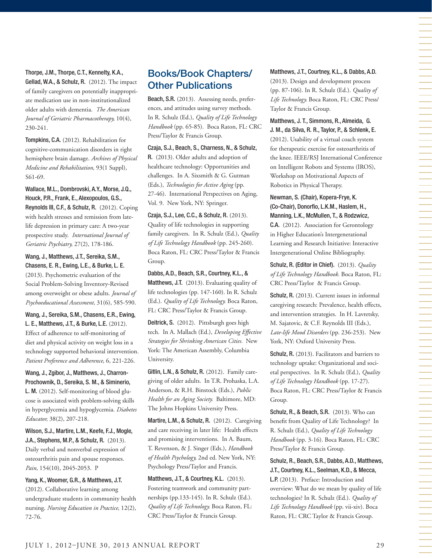Thorpe, J.M., Thorpe, C.T., Kennelty, K.A., Gellad, W.A., & Schulz, R. (2012). The impact of family caregivers on potentially inappropriate medication use in non-institutionalized older adults with dementia. *The American Journal of Geriatric Pharmacotherapy,* 10(4), 230-241.

Tompkins, C.A. (2012). Rehabilitation for cognitive-communication disorders in right hemisphere brain damage. *Archives of Physical Medicine and Rehabilitation,* 93(1 Suppl), S61-69.

Wallace, M.L., Dombrovski, A.Y., Morse, J.Q., Houck, P.R., Frank, E., Alexopoulos, G.S., Reynolds III, C.F., & Schulz, R. (2012). Coping with health stresses and remission from latelife depression in primary care: A two-year prospective study. *International Journal of Geriatric Psychiatry,* 27(2), 178-186.

Wang, J., Matthews, J.T., Sereika, S.M., Chasens, E. R., Ewing, L.E., & Burke, L. E. (2013). Psychometric evaluation of the Social Problem-Solving Inventory-Revised among overweight or obese adults. *Journal of Psychoeducational Assessment,* 31(6), 585-590.

Wang, J., Sereika, S.M., Chasens, E.R., Ewing, L. E., Matthews, J.T., & Burke, L.E. (2012). Effect of adherence to self-monitoring of diet and physical activity on weight loss in a technology supported behavioral intervention. *Patient Preference and Adherence*, 6, 221-226.

Wang, J., Zgibor, J., Matthews, J., Charron-Prochownik, D., Sereika, S. M., & Siminerio, L. M. (2012). Self-monitoring of blood glucose is associated with problem-solving skills in hyperglycemia and hypoglycemia. *Diabetes Educator,* 38(2), 207-218.

Wilson, S.J., Martire, L.M., Keefe, F.J., Mogle, J.A., Stephens, M.P., & Schulz, R. (2013). Daily verbal and nonverbal expression of osteoarthritis pain and spouse responses. *Pain,* 154(10), 2045-2053. P

Yang, K., Woomer, G.R., & Matthews, J.T. (2012). Collaborative learning among undergraduate students in community health nursing. *Nursing Education in Practice,* 12(2), 72-76.

# Books/Book Chapters/ Other Publications

Beach, S.R. (2013). Assessing needs, preferences, and attitudes using survey methods. In R. Schulz (Ed.), *Quality of Life Technology Handbook* (pp. 65-85). Boca Raton, FL: CRC Press/Taylor & Francis Group.

Czaja, S.J., Beach, S., Charness, N., & Schulz, R. (2013). Older adults and adoption of healthcare technology: Opportunities and challenges. In A. Sixsmith & G. Gutman (Eds.), *Technologies for Active Aging* (pp. 27-46). International Perspectives on Aging, Vol. 9. New York, NY: Springer.

Czaja, S.J., Lee, C.C., & Schulz, R. (2013). Quality of life technologies in supporting family caregivers. In R. Schulz (Ed.), *Quality of Life Technology Handbook* (pp. 245-260). Boca Raton, FL: CRC Press/Taylor & Francis Group.

Dabbs, A.D., Beach, S.R., Courtney, K.L., & Matthews, J.T. (2013). Evaluating quality of life technologies (pp. 147-160). In R. Schulz (Ed.). *Quality of Life Technology.* Boca Raton, FL: CRC Press/Taylor & Francis Group.

Deitrick, S. (2012). Pittsburgh goes high tech. In A. Mallach (Ed.), *Developing Effective Strategies for Shrinking American Cities.* New York: The American Assembly, Columbia University.

Gitlin, L.N., & Schulz, R. (2012). Family caregiving of older adults. In T.R. Prohaska, L.A. Anderson, & R.H. Binstock (Eds.), *Public Health for an Aging Society.* Baltimore, MD: The Johns Hopkins University Press.

Martire, L.M., & Schulz, R. (2012). Caregiving and care receiving in later life: Health effects and promising interventions. In A. Baum, T. Revenson, & J. Singer (Eds.), *Handbook of Health Psychology,* 2nd ed. New York, NY: Psychology Press/Taylor and Francis.

Matthews, J.T., & Courtney, K.L. (2013). Fostering teamwork and community partnerships (pp.133-145). In R. Schulz (Ed.). *Quality of Life Technology.* Boca Raton, FL: CRC Press/Taylor & Francis Group.

Matthews, J.T., Courtney, K.L., & Dabbs, A.D. (2013). Design and development process (pp. 87-106). In R. Schulz (Ed.). *Quality of Life Technology.* Boca Raton, FL: CRC Press/ Taylor & Francis Group.

Matthews, J. T., Simmons, R., Almeida, G. J. M., da Silva, R. R., Taylor, P., & Schlenk, E. (2012). Usability of a virtual coach system for therapeutic exercise for osteoarthritis of the knee. IEEE/RSJ International Conference on Intelligent Robots and Systems (IROS), Workshop on Motivational Aspects of Robotics in Physical Therapy.

Newman, S. (Chair), Kopera-Frye, K. (Co-Chair), Donorfio, L.K.M., Haslem, H., Manning, L.K., McMullen, T., & Rodzwicz, C.A. (2012). Association for Gerontology in Higher Education's Intergenerational Learning and Research Initiative: Interactive Intergenerational Online Bibliography.

Schulz, R. (Editor in Chief). (2013). *Quality of Life Technology Handbook.* Boca Raton, FL: CRC Press/Taylor & Francis Group.

Schulz, R. (2013). Current issues in informal caregiving research: Prevalence, health effects, and intervention strategies. In H. Lavretsky, M. Sajatovic, & C.F. Reynolds III (Eds.), *Late-life Mood Disorders* (pp. 236-253). New York, NY: Oxford University Press.

Schulz, R. (2013). Facilitators and barriers to technology uptake: Organizational and societal perspectives. In R. Schulz (Ed.), *Quality of Life Technology Handbook* (pp. 17-27). Boca Raton, FL: CRC Press/Taylor & Francis Group.

Schulz, R., & Beach, S.R. (2013). Who can benefit from Quality of Life Technology? In R. Schulz (Ed.), *Quality of Life Technology Handbook* (pp. 3-16). Boca Raton, FL: CRC Press/Taylor & Francis Group.

Schulz, R., Beach, S.R., Dabbs, A.D., Matthews, J.T., Courtney, K.L., Seelman, K.D., & Mecca,

L.P. (2013). Preface: Introduction and overview: What do we mean by quality of life technologies? In R. Schulz (Ed.). *Quality of Life Technology Handbook* (pp. vii-xiv). Boca Raton, FL: CRC Taylor & Francis Group.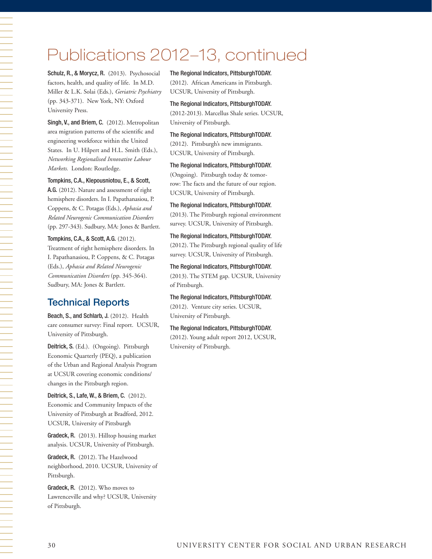# Publications 2012–13, continued

Schulz, R., & Morycz, R. (2013). Psychosocial factors, health, and quality of life. In M.D. Miller & L.K. Solai (Eds.), *Geriatric Psychiatry* (pp. 343-371). New York, NY: Oxford University Press.

Singh, V., and Briem, C. (2012). Metropolitan area migration patterns of the scientific and engineering workforce within the United States. In U. Hilpert and H.L. Smith (Eds.), *Networking Regionalised Innovative Labour Markets.* London: Routledge.

Tompkins, C.A., Klepousniotou, E., & Scott,

A.G. (2012). Nature and assessment of right hemisphere disorders. In I. Papathanasiou, P. Coppens, & C. Potagas (Eds.), *Aphasia and Related Neurogenic Communication Disorders* (pp. 297-343). Sudbury, MA: Jones & Bartlett.

Tompkins, C.A., & Scott, A.G. (2012). Treatment of right hemisphere disorders. In I. Papathanasiou, P. Coppens, & C. Potagas (Eds.), *Aphasia and Related Neurogenic Communication Disorders* (pp. 345-364). Sudbury, MA: Jones & Bartlett.

# Technical Reports

一个人,我们就是一个人,我们就是一个人,我们就是一个人,我们就是一个人,我们就是一个人,我们就是一个人,我们就是一个人,我们就是一个人,我们就是一个人,我们就是一

Beach, S., and Schlarb, J. (2012). Health care consumer survey: Final report. UCSUR, University of Pittsburgh.

Deitrick, S. (Ed.). (Ongoing). Pittsburgh Economic Quarterly (PEQ), a publication of the Urban and Regional Analysis Program at UCSUR covering economic conditions/ changes in the Pittsburgh region.

Deitrick, S., Lafe, W., & Briem, C. (2012). Economic and Community Impacts of the University of Pittsburgh at Bradford, 2012. UCSUR, University of Pittsburgh

Gradeck, R. (2013). Hilltop housing market analysis. UCSUR, University of Pittsburgh.

Gradeck, R. (2012). The Hazelwood neighborhood, 2010. UCSUR, University of Pittsburgh.

Gradeck, R. (2012). Who moves to Lawrenceville and why? UCSUR, University of Pittsburgh.

The Regional Indicators, PittsburghTODAY. (2012). African Americans in Pittsburgh. UCSUR, University of Pittsburgh.

The Regional Indicators, PittsburghTODAY. (2012-2013). Marcellus Shale series. UCSUR, University of Pittsburgh.

The Regional Indicators, PittsburghTODAY. (2012). Pittsburgh's new immigrants. UCSUR, University of Pittsburgh.

The Regional Indicators, PittsburghTODAY. (Ongoing). Pittsburgh today & tomorrow: The facts and the future of our region. UCSUR, University of Pittsburgh.

The Regional Indicators, PittsburghTODAY. (2013). The Pittsburgh regional environment survey. UCSUR, University of Pittsburgh.

The Regional Indicators, PittsburghTODAY. (2012). The Pittsburgh regional quality of life survey. UCSUR, University of Pittsburgh.

The Regional Indicators, PittsburghTODAY. (2013). The STEM gap. UCSUR, University of Pittsburgh.

The Regional Indicators, PittsburghTODAY. (2012). Venture city series. UCSUR, University of Pittsburgh.

The Regional Indicators, PittsburghTODAY. (2012). Young adult report 2012, UCSUR, University of Pittsburgh.